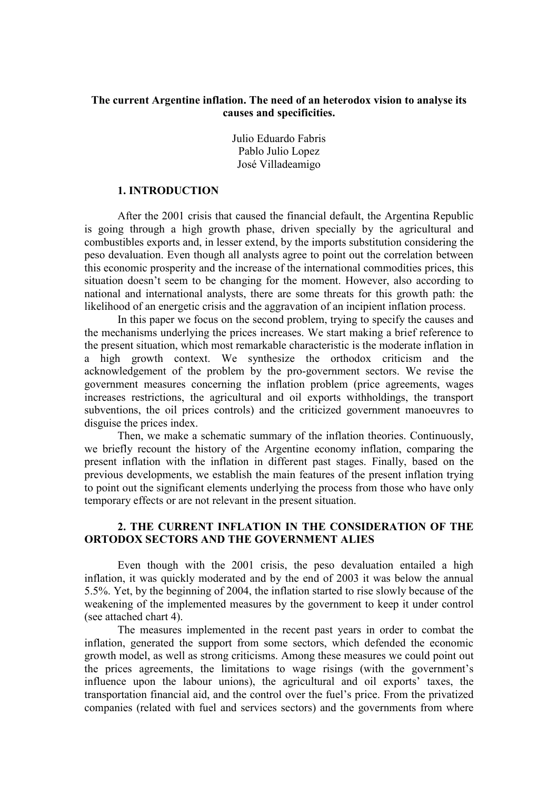# The current Argentine inflation. The need of an heterodox vision to analyse its causes and specificities.

Julio Eduardo Fabris Pablo Julio Lopez José Villadeamigo

### 1. INTRODUCTION

After the 2001 crisis that caused the financial default, the Argentina Republic is going through a high growth phase, driven specially by the agricultural and combustibles exports and, in lesser extend, by the imports substitution considering the peso devaluation. Even though all analysts agree to point out the correlation between this economic prosperity and the increase of the international commodities prices, this situation doesn't seem to be changing for the moment. However, also according to national and international analysts, there are some threats for this growth path: the likelihood of an energetic crisis and the aggravation of an incipient inflation process.

In this paper we focus on the second problem, trying to specify the causes and the mechanisms underlying the prices increases. We start making a brief reference to the present situation, which most remarkable characteristic is the moderate inflation in a high growth context. We synthesize the orthodox criticism and the acknowledgement of the problem by the pro-government sectors. We revise the government measures concerning the inflation problem (price agreements, wages increases restrictions, the agricultural and oil exports withholdings, the transport subventions, the oil prices controls) and the criticized government manoeuvres to disguise the prices index.

Then, we make a schematic summary of the inflation theories. Continuously, we briefly recount the history of the Argentine economy inflation, comparing the present inflation with the inflation in different past stages. Finally, based on the previous developments, we establish the main features of the present inflation trying to point out the significant elements underlying the process from those who have only temporary effects or are not relevant in the present situation.

# 2. THE CURRENT INFLATION IN THE CONSIDERATION OF THE ORTODOX SECTORS AND THE GOVERNMENT ALIES

Even though with the 2001 crisis, the peso devaluation entailed a high inflation, it was quickly moderated and by the end of 2003 it was below the annual 5.5%. Yet, by the beginning of 2004, the inflation started to rise slowly because of the weakening of the implemented measures by the government to keep it under control (see attached chart 4).

The measures implemented in the recent past years in order to combat the inflation, generated the support from some sectors, which defended the economic growth model, as well as strong criticisms. Among these measures we could point out the prices agreements, the limitations to wage risings (with the government's influence upon the labour unions), the agricultural and oil exports' taxes, the transportation financial aid, and the control over the fuel's price. From the privatized companies (related with fuel and services sectors) and the governments from where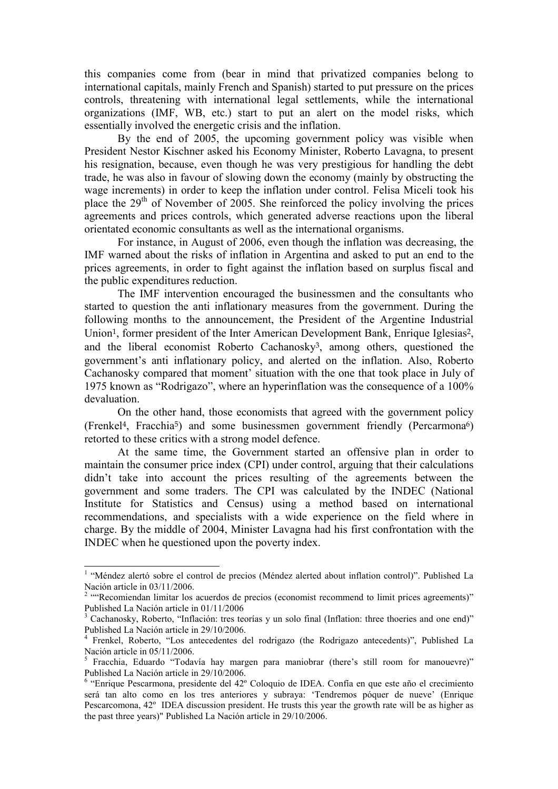this companies come from (bear in mind that privatized companies belong to international capitals, mainly French and Spanish) started to put pressure on the prices controls, threatening with international legal settlements, while the international organizations (IMF, WB, etc.) start to put an alert on the model risks, which essentially involved the energetic crisis and the inflation.

By the end of 2005, the upcoming government policy was visible when President Nestor Kischner asked his Economy Minister, Roberto Lavagna, to present his resignation, because, even though he was very prestigious for handling the debt trade, he was also in favour of slowing down the economy (mainly by obstructing the wage increments) in order to keep the inflation under control. Felisa Miceli took his place the  $29<sup>th</sup>$  of November of 2005. She reinforced the policy involving the prices agreements and prices controls, which generated adverse reactions upon the liberal orientated economic consultants as well as the international organisms.

For instance, in August of 2006, even though the inflation was decreasing, the IMF warned about the risks of inflation in Argentina and asked to put an end to the prices agreements, in order to fight against the inflation based on surplus fiscal and the public expenditures reduction.

The IMF intervention encouraged the businessmen and the consultants who started to question the anti inflationary measures from the government. During the following months to the announcement, the President of the Argentine Industrial Union<sup>1</sup>, former president of the Inter American Development Bank, Enrique Iglesias<sup>2</sup>, and the liberal economist Roberto Cachanosky<sup>3</sup>, among others, questioned the government's anti inflationary policy, and alerted on the inflation. Also, Roberto Cachanosky compared that moment' situation with the one that took place in July of 1975 known as "Rodrigazo", where an hyperinflation was the consequence of a 100% devaluation.

On the other hand, those economists that agreed with the government policy (Frenkel<sup>4</sup>, Fracchia<sup>5</sup>) and some businessmen government friendly (Percarmona<sup>6</sup>) retorted to these critics with a strong model defence.

At the same time, the Government started an offensive plan in order to maintain the consumer price index (CPI) under control, arguing that their calculations didn't take into account the prices resulting of the agreements between the government and some traders. The CPI was calculated by the INDEC (National Institute for Statistics and Census) using a method based on international recommendations, and specialists with a wide experience on the field where in charge. By the middle of 2004, Minister Lavagna had his first confrontation with the INDEC when he questioned upon the poverty index.

 1 "Méndez alertó sobre el control de precios (Méndez alerted about inflation control)". Published La

Nación article in 03/11/2006.<br><sup>2</sup> "Recomiendan limitar los acuerdos de precios (economist recommend to limit prices agreements)" Published La Nación article in 01/11/2006

<sup>&</sup>lt;sup>3</sup> Cachanosky, Roberto, "Inflación: tres teorías y un solo final (Inflation: three thoeries and one end)" Published La Nación article in 29/10/2006.

<sup>4</sup> Frenkel, Roberto, "Los antecedentes del rodrigazo (the Rodrigazo antecedents)", Published La Nación article in 05/11/2006.

<sup>&</sup>lt;sup>5</sup> Fracchia, Eduardo "Todavía hay margen para maniobrar (there's still room for manouevre)" Published La Nación article in 29/10/2006.

<sup>&</sup>lt;sup>6</sup> "Enrique Pescarmona, presidente del 42º Coloquio de IDEA. Confía en que este año el crecimiento será tan alto como en los tres anteriores y subraya: 'Tendremos póquer de nueve' (Enrique Pescarcomona, 42º IDEA discussion president. He trusts this year the growth rate will be as higher as the past three years)" Published La Nación article in 29/10/2006.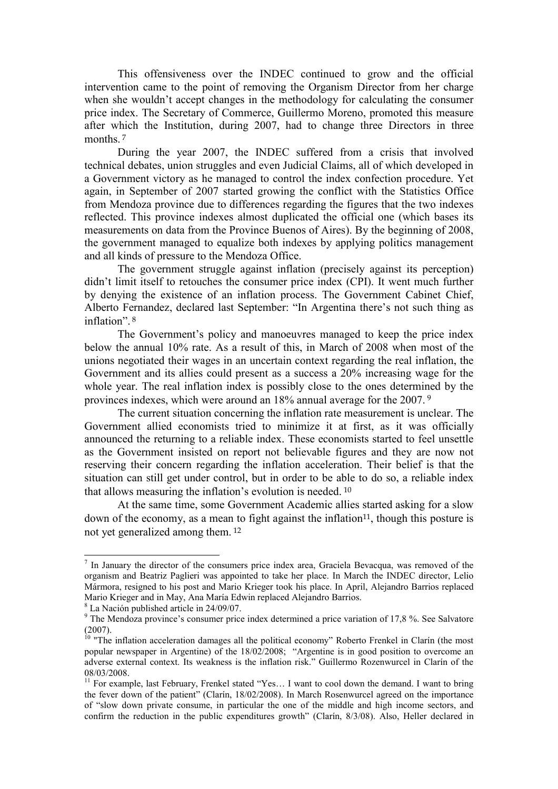This offensiveness over the INDEC continued to grow and the official intervention came to the point of removing the Organism Director from her charge when she wouldn't accept changes in the methodology for calculating the consumer price index. The Secretary of Commerce, Guillermo Moreno, promoted this measure after which the Institution, during 2007, had to change three Directors in three months.<sup>7</sup>

During the year 2007, the INDEC suffered from a crisis that involved technical debates, union struggles and even Judicial Claims, all of which developed in a Government victory as he managed to control the index confection procedure. Yet again, in September of 2007 started growing the conflict with the Statistics Office from Mendoza province due to differences regarding the figures that the two indexes reflected. This province indexes almost duplicated the official one (which bases its measurements on data from the Province Buenos of Aires). By the beginning of 2008, the government managed to equalize both indexes by applying politics management and all kinds of pressure to the Mendoza Office.

The government struggle against inflation (precisely against its perception) didn't limit itself to retouches the consumer price index (CPI). It went much further by denying the existence of an inflation process. The Government Cabinet Chief, Alberto Fernandez, declared last September: "In Argentina there's not such thing as inflation" 8

The Government's policy and manoeuvres managed to keep the price index below the annual 10% rate. As a result of this, in March of 2008 when most of the unions negotiated their wages in an uncertain context regarding the real inflation, the Government and its allies could present as a success a 20% increasing wage for the whole year. The real inflation index is possibly close to the ones determined by the provinces indexes, which were around an 18% annual average for the 2007.<sup>9</sup>

The current situation concerning the inflation rate measurement is unclear. The Government allied economists tried to minimize it at first, as it was officially announced the returning to a reliable index. These economists started to feel unsettle as the Government insisted on report not believable figures and they are now not reserving their concern regarding the inflation acceleration. Their belief is that the situation can still get under control, but in order to be able to do so, a reliable index that allows measuring the inflation's evolution is needed.<sup>10</sup>

At the same time, some Government Academic allies started asking for a slow down of the economy, as a mean to fight against the inflation<sup>11</sup>, though this posture is not yet generalized among them.<sup>12</sup>

 $\overline{a}$ 

 $<sup>7</sup>$  In January the director of the consumers price index area, Graciela Bevacqua, was removed of the</sup> organism and Beatriz Paglieri was appointed to take her place. In March the INDEC director, Lelio Mármora, resigned to his post and Mario Krieger took his place. In April, Alejandro Barrios replaced Mario Krieger and in May, Ana María Edwin replaced Alejandro Barrios.

<sup>8</sup> La Nación published article in 24/09/07.

<sup>&</sup>lt;sup>9</sup> The Mendoza province's consumer price index determined a price variation of 17,8 %. See Salvatore (2007).

<sup>&</sup>lt;sup>10</sup> "The inflation acceleration damages all the political economy" Roberto Frenkel in Clarín (the most popular newspaper in Argentine) of the 18/02/2008; "Argentine is in good position to overcome an adverse external context. Its weakness is the inflation risk." Guillermo Rozenwurcel in Clarín of the 08/03/2008.

 $11$  For example, last February, Frenkel stated "Yes... I want to cool down the demand. I want to bring the fever down of the patient" (Clarín, 18/02/2008). In March Rosenwurcel agreed on the importance of "slow down private consume, in particular the one of the middle and high income sectors, and confirm the reduction in the public expenditures growth" (Clarín, 8/3/08). Also, Heller declared in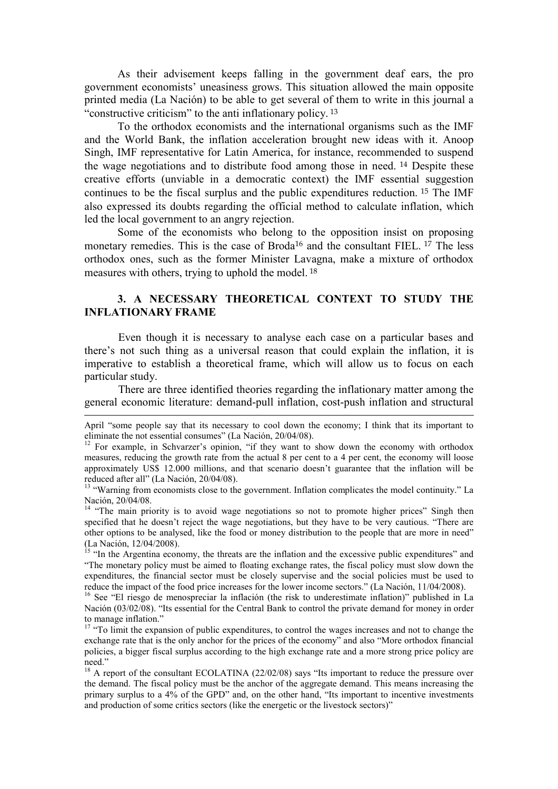As their advisement keeps falling in the government deaf ears, the pro government economists' uneasiness grows. This situation allowed the main opposite printed media (La Nación) to be able to get several of them to write in this journal a "constructive criticism" to the anti inflationary policy.<sup>13</sup>

To the orthodox economists and the international organisms such as the IMF and the World Bank, the inflation acceleration brought new ideas with it. Anoop Singh, IMF representative for Latin America, for instance, recommended to suspend the wage negotiations and to distribute food among those in need.<sup>14</sup> Despite these creative efforts (unviable in a democratic context) the IMF essential suggestion continues to be the fiscal surplus and the public expenditures reduction.<sup>15</sup> The IMF also expressed its doubts regarding the official method to calculate inflation, which led the local government to an angry rejection.

Some of the economists who belong to the opposition insist on proposing monetary remedies. This is the case of Broda<sup>16</sup> and the consultant FIEL.<sup>17</sup> The less orthodox ones, such as the former Minister Lavagna, make a mixture of orthodox measures with others, trying to uphold the model.<sup>18</sup>

# 3. A NECESSARY THEORETICAL CONTEXT TO STUDY THE INFLATIONARY FRAME

Even though it is necessary to analyse each case on a particular bases and there's not such thing as a universal reason that could explain the inflation, it is imperative to establish a theoretical frame, which will allow us to focus on each particular study.

There are three identified theories regarding the inflationary matter among the general economic literature: demand-pull inflation, cost-push inflation and structural

 $\overline{a}$ 

April "some people say that its necessary to cool down the economy; I think that its important to eliminate the not essential consumes" (La Nación, 20/04/08).

<sup>&</sup>lt;sup>12</sup> For example, in Schvarzer's opinion, "if they want to show down the economy with orthodox measures, reducing the growth rate from the actual 8 per cent to a 4 per cent, the economy will loose approximately US\$ 12.000 millions, and that scenario doesn't guarantee that the inflation will be reduced after all" (La Nación, 20/04/08).

<sup>&</sup>lt;sup>13</sup> "Warning from economists close to the government. Inflation complicates the model continuity." La Nación, 20/04/08.

<sup>&</sup>lt;sup>14</sup> "The main priority is to avoid wage negotiations so not to promote higher prices" Singh then specified that he doesn't reject the wage negotiations, but they have to be very cautious. "There are other options to be analysed, like the food or money distribution to the people that are more in need" (La Nación, 12/04/2008).

<sup>&</sup>lt;sup>15</sup> "In the Argentina economy, the threats are the inflation and the excessive public expenditures" and "The monetary policy must be aimed to floating exchange rates, the fiscal policy must slow down the expenditures, the financial sector must be closely supervise and the social policies must be used to reduce the impact of the food price increases for the lower income sectors." (La Nación, 11/04/2008).

<sup>16</sup> See "El riesgo de menospreciar la inflación (the risk to underestimate inflation)" published in La Nación (03/02/08). "Its essential for the Central Bank to control the private demand for money in order to manage inflation."

<sup>&</sup>lt;sup>17</sup> "To limit the expansion of public expenditures, to control the wages increases and not to change the exchange rate that is the only anchor for the prices of the economy" and also "More orthodox financial policies, a bigger fiscal surplus according to the high exchange rate and a more strong price policy are need."

 $18$  A report of the consultant ECOLATINA (22/02/08) says "Its important to reduce the pressure over the demand. The fiscal policy must be the anchor of the aggregate demand. This means increasing the primary surplus to a 4% of the GPD" and, on the other hand, "Its important to incentive investments and production of some critics sectors (like the energetic or the livestock sectors)"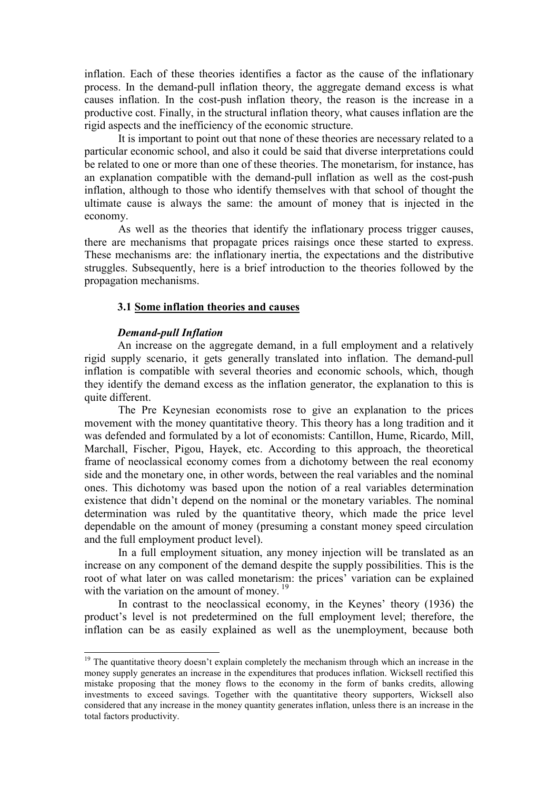inflation. Each of these theories identifies a factor as the cause of the inflationary process. In the demand-pull inflation theory, the aggregate demand excess is what causes inflation. In the cost-push inflation theory, the reason is the increase in a productive cost. Finally, in the structural inflation theory, what causes inflation are the rigid aspects and the inefficiency of the economic structure.

It is important to point out that none of these theories are necessary related to a particular economic school, and also it could be said that diverse interpretations could be related to one or more than one of these theories. The monetarism, for instance, has an explanation compatible with the demand-pull inflation as well as the cost-push inflation, although to those who identify themselves with that school of thought the ultimate cause is always the same: the amount of money that is injected in the economy.

As well as the theories that identify the inflationary process trigger causes, there are mechanisms that propagate prices raisings once these started to express. These mechanisms are: the inflationary inertia, the expectations and the distributive struggles. Subsequently, here is a brief introduction to the theories followed by the propagation mechanisms.

#### 3.1 Some inflation theories and causes

### Demand-pull Inflation

 $\overline{a}$ 

An increase on the aggregate demand, in a full employment and a relatively rigid supply scenario, it gets generally translated into inflation. The demand-pull inflation is compatible with several theories and economic schools, which, though they identify the demand excess as the inflation generator, the explanation to this is quite different.

The Pre Keynesian economists rose to give an explanation to the prices movement with the money quantitative theory. This theory has a long tradition and it was defended and formulated by a lot of economists: Cantillon, Hume, Ricardo, Mill, Marchall, Fischer, Pigou, Hayek, etc. According to this approach, the theoretical frame of neoclassical economy comes from a dichotomy between the real economy side and the monetary one, in other words, between the real variables and the nominal ones. This dichotomy was based upon the notion of a real variables determination existence that didn't depend on the nominal or the monetary variables. The nominal determination was ruled by the quantitative theory, which made the price level dependable on the amount of money (presuming a constant money speed circulation and the full employment product level).

In a full employment situation, any money injection will be translated as an increase on any component of the demand despite the supply possibilities. This is the root of what later on was called monetarism: the prices' variation can be explained with the variation on the amount of money.<sup>19</sup>

In contrast to the neoclassical economy, in the Keynes' theory (1936) the product's level is not predetermined on the full employment level; therefore, the inflation can be as easily explained as well as the unemployment, because both

 $19$  The quantitative theory doesn't explain completely the mechanism through which an increase in the money supply generates an increase in the expenditures that produces inflation. Wicksell rectified this mistake proposing that the money flows to the economy in the form of banks credits, allowing investments to exceed savings. Together with the quantitative theory supporters, Wicksell also considered that any increase in the money quantity generates inflation, unless there is an increase in the total factors productivity.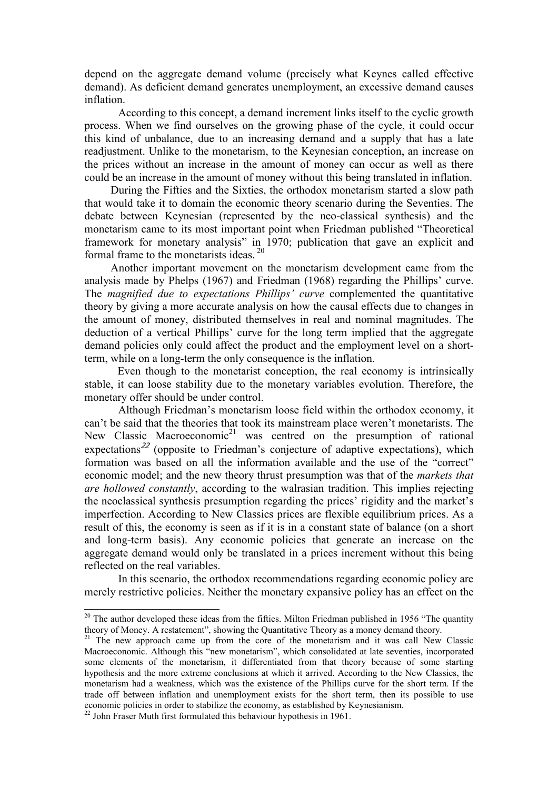depend on the aggregate demand volume (precisely what Keynes called effective demand). As deficient demand generates unemployment, an excessive demand causes inflation.

According to this concept, a demand increment links itself to the cyclic growth process. When we find ourselves on the growing phase of the cycle, it could occur this kind of unbalance, due to an increasing demand and a supply that has a late readjustment. Unlike to the monetarism, to the Keynesian conception, an increase on the prices without an increase in the amount of money can occur as well as there could be an increase in the amount of money without this being translated in inflation.

 During the Fifties and the Sixties, the orthodox monetarism started a slow path that would take it to domain the economic theory scenario during the Seventies. The debate between Keynesian (represented by the neo-classical synthesis) and the monetarism came to its most important point when Friedman published "Theoretical framework for monetary analysis" in 1970; publication that gave an explicit and formal frame to the monetarists ideas.<sup>20</sup>

 Another important movement on the monetarism development came from the analysis made by Phelps (1967) and Friedman (1968) regarding the Phillips' curve. The magnified due to expectations Phillips' curve complemented the quantitative theory by giving a more accurate analysis on how the causal effects due to changes in the amount of money, distributed themselves in real and nominal magnitudes. The deduction of a vertical Phillips' curve for the long term implied that the aggregate demand policies only could affect the product and the employment level on a shortterm, while on a long-term the only consequence is the inflation.

Even though to the monetarist conception, the real economy is intrinsically stable, it can loose stability due to the monetary variables evolution. Therefore, the monetary offer should be under control.

Although Friedman's monetarism loose field within the orthodox economy, it can't be said that the theories that took its mainstream place weren't monetarists. The New Classic Macroeconomic<sup>21</sup> was centred on the presumption of rational expectations<sup>22</sup> (opposite to Friedman's conjecture of adaptive expectations), which formation was based on all the information available and the use of the "correct" economic model; and the new theory thrust presumption was that of the *markets that* are hollowed constantly, according to the walrasian tradition. This implies rejecting the neoclassical synthesis presumption regarding the prices' rigidity and the market's imperfection. According to New Classics prices are flexible equilibrium prices. As a result of this, the economy is seen as if it is in a constant state of balance (on a short and long-term basis). Any economic policies that generate an increase on the aggregate demand would only be translated in a prices increment without this being reflected on the real variables.

In this scenario, the orthodox recommendations regarding economic policy are merely restrictive policies. Neither the monetary expansive policy has an effect on the

 $\overline{a}$ 

 $20$  The author developed these ideas from the fifties. Milton Friedman published in 1956 "The quantity theory of Money. A restatement", showing the Quantitative Theory as a money demand theory.

 $21$  The new approach came up from the core of the monetarism and it was call New Classic Macroeconomic. Although this "new monetarism", which consolidated at late seventies, incorporated some elements of the monetarism, it differentiated from that theory because of some starting hypothesis and the more extreme conclusions at which it arrived. According to the New Classics, the monetarism had a weakness, which was the existence of the Phillips curve for the short term. If the trade off between inflation and unemployment exists for the short term, then its possible to use economic policies in order to stabilize the economy, as established by Keynesianism.

 $22$  John Fraser Muth first formulated this behaviour hypothesis in 1961.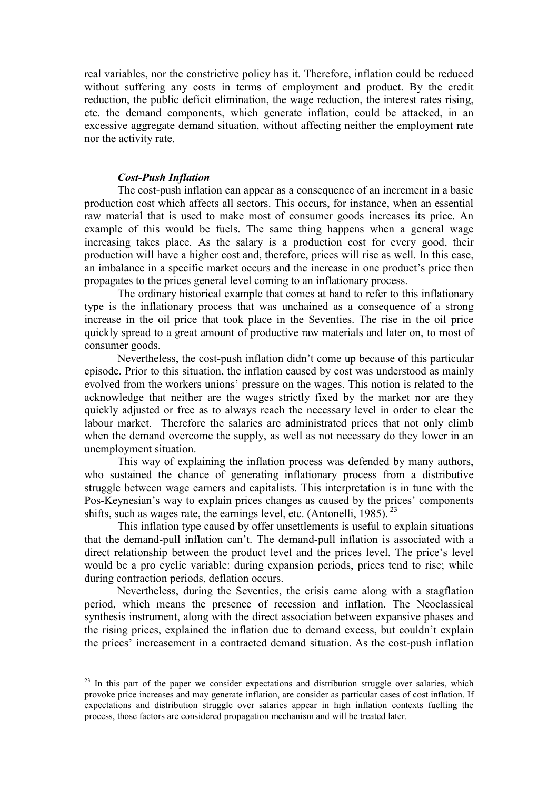real variables, nor the constrictive policy has it. Therefore, inflation could be reduced without suffering any costs in terms of employment and product. By the credit reduction, the public deficit elimination, the wage reduction, the interest rates rising, etc. the demand components, which generate inflation, could be attacked, in an excessive aggregate demand situation, without affecting neither the employment rate nor the activity rate.

# Cost-Push Inflation

 $\overline{a}$ 

The cost-push inflation can appear as a consequence of an increment in a basic production cost which affects all sectors. This occurs, for instance, when an essential raw material that is used to make most of consumer goods increases its price. An example of this would be fuels. The same thing happens when a general wage increasing takes place. As the salary is a production cost for every good, their production will have a higher cost and, therefore, prices will rise as well. In this case, an imbalance in a specific market occurs and the increase in one product's price then propagates to the prices general level coming to an inflationary process.

The ordinary historical example that comes at hand to refer to this inflationary type is the inflationary process that was unchained as a consequence of a strong increase in the oil price that took place in the Seventies. The rise in the oil price quickly spread to a great amount of productive raw materials and later on, to most of consumer goods.

Nevertheless, the cost-push inflation didn't come up because of this particular episode. Prior to this situation, the inflation caused by cost was understood as mainly evolved from the workers unions' pressure on the wages. This notion is related to the acknowledge that neither are the wages strictly fixed by the market nor are they quickly adjusted or free as to always reach the necessary level in order to clear the labour market. Therefore the salaries are administrated prices that not only climb when the demand overcome the supply, as well as not necessary do they lower in an unemployment situation.

This way of explaining the inflation process was defended by many authors, who sustained the chance of generating inflationary process from a distributive struggle between wage earners and capitalists. This interpretation is in tune with the Pos-Keynesian's way to explain prices changes as caused by the prices' components shifts, such as wages rate, the earnings level, etc. (Antonelli, 1985).  $^{23}$ 

This inflation type caused by offer unsettlements is useful to explain situations that the demand-pull inflation can't. The demand-pull inflation is associated with a direct relationship between the product level and the prices level. The price's level would be a pro cyclic variable: during expansion periods, prices tend to rise; while during contraction periods, deflation occurs.

Nevertheless, during the Seventies, the crisis came along with a stagflation period, which means the presence of recession and inflation. The Neoclassical synthesis instrument, along with the direct association between expansive phases and the rising prices, explained the inflation due to demand excess, but couldn't explain the prices' increasement in a contracted demand situation. As the cost-push inflation

<sup>&</sup>lt;sup>23</sup> In this part of the paper we consider expectations and distribution struggle over salaries, which provoke price increases and may generate inflation, are consider as particular cases of cost inflation. If expectations and distribution struggle over salaries appear in high inflation contexts fuelling the process, those factors are considered propagation mechanism and will be treated later.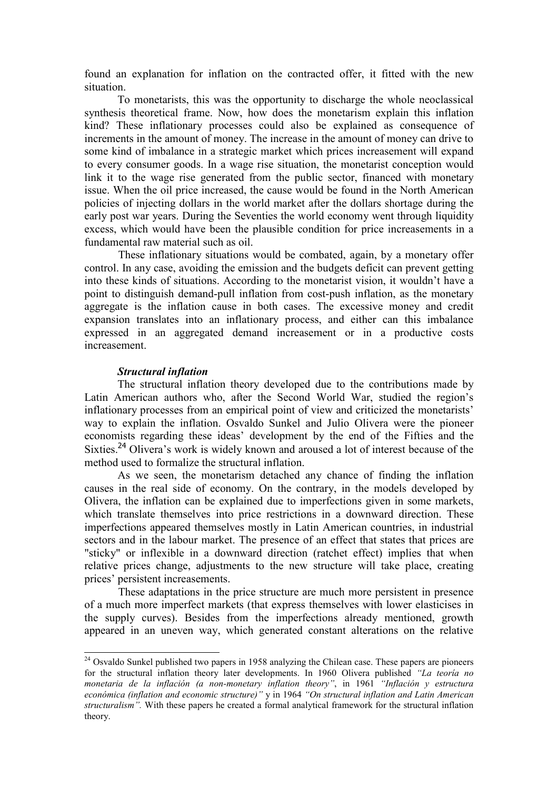found an explanation for inflation on the contracted offer, it fitted with the new situation.

To monetarists, this was the opportunity to discharge the whole neoclassical synthesis theoretical frame. Now, how does the monetarism explain this inflation kind? These inflationary processes could also be explained as consequence of increments in the amount of money. The increase in the amount of money can drive to some kind of imbalance in a strategic market which prices increasement will expand to every consumer goods. In a wage rise situation, the monetarist conception would link it to the wage rise generated from the public sector, financed with monetary issue. When the oil price increased, the cause would be found in the North American policies of injecting dollars in the world market after the dollars shortage during the early post war years. During the Seventies the world economy went through liquidity excess, which would have been the plausible condition for price increasements in a fundamental raw material such as oil.

These inflationary situations would be combated, again, by a monetary offer control. In any case, avoiding the emission and the budgets deficit can prevent getting into these kinds of situations. According to the monetarist vision, it wouldn't have a point to distinguish demand-pull inflation from cost-push inflation, as the monetary aggregate is the inflation cause in both cases. The excessive money and credit expansion translates into an inflationary process, and either can this imbalance expressed in an aggregated demand increasement or in a productive costs increasement.

#### Structural inflation

 $\overline{a}$ 

The structural inflation theory developed due to the contributions made by Latin American authors who, after the Second World War, studied the region's inflationary processes from an empirical point of view and criticized the monetarists' way to explain the inflation. Osvaldo Sunkel and Julio Olivera were the pioneer economists regarding these ideas' development by the end of the Fifties and the Sixties.<sup>24</sup> Olivera's work is widely known and aroused a lot of interest because of the method used to formalize the structural inflation.

As we seen, the monetarism detached any chance of finding the inflation causes in the real side of economy. On the contrary, in the models developed by Olivera, the inflation can be explained due to imperfections given in some markets, which translate themselves into price restrictions in a downward direction. These imperfections appeared themselves mostly in Latin American countries, in industrial sectors and in the labour market. The presence of an effect that states that prices are "sticky" or inflexible in a downward direction (ratchet effect) implies that when relative prices change, adjustments to the new structure will take place, creating prices' persistent increasements.

 These adaptations in the price structure are much more persistent in presence of a much more imperfect markets (that express themselves with lower elasticises in the supply curves). Besides from the imperfections already mentioned, growth appeared in an uneven way, which generated constant alterations on the relative

 $24$  Osvaldo Sunkel published two papers in 1958 analyzing the Chilean case. These papers are pioneers for the structural inflation theory later developments. In 1960 Olivera published "La teoría no monetaria de la inflación (a non-monetary inflation theory", in 1961 "Inflación y estructura económica (inflation and economic structure)" y in 1964 "On structural inflation and Latin American structuralism". With these papers he created a formal analytical framework for the structural inflation theory.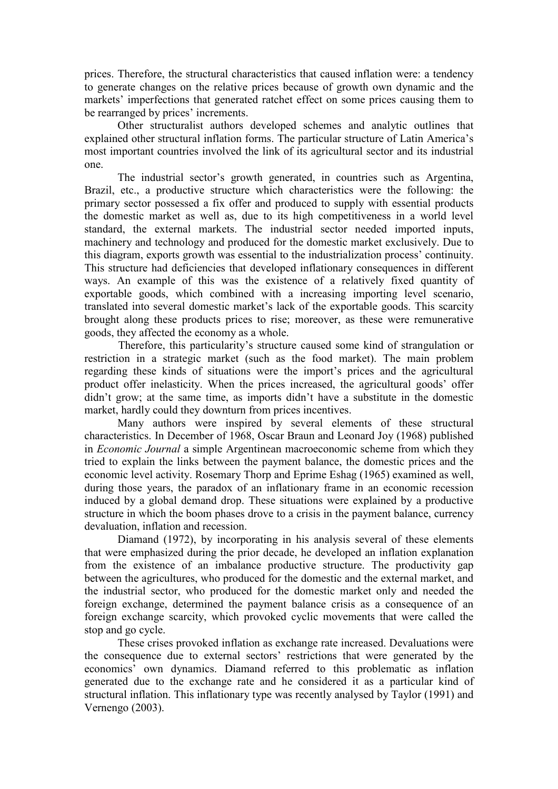prices. Therefore, the structural characteristics that caused inflation were: a tendency to generate changes on the relative prices because of growth own dynamic and the markets' imperfections that generated ratchet effect on some prices causing them to be rearranged by prices' increments.

Other structuralist authors developed schemes and analytic outlines that explained other structural inflation forms. The particular structure of Latin America's most important countries involved the link of its agricultural sector and its industrial one.

The industrial sector's growth generated, in countries such as Argentina, Brazil, etc., a productive structure which characteristics were the following: the primary sector possessed a fix offer and produced to supply with essential products the domestic market as well as, due to its high competitiveness in a world level standard, the external markets. The industrial sector needed imported inputs, machinery and technology and produced for the domestic market exclusively. Due to this diagram, exports growth was essential to the industrialization process' continuity. This structure had deficiencies that developed inflationary consequences in different ways. An example of this was the existence of a relatively fixed quantity of exportable goods, which combined with a increasing importing level scenario, translated into several domestic market's lack of the exportable goods. This scarcity brought along these products prices to rise; moreover, as these were remunerative goods, they affected the economy as a whole.

Therefore, this particularity's structure caused some kind of strangulation or restriction in a strategic market (such as the food market). The main problem regarding these kinds of situations were the import's prices and the agricultural product offer inelasticity. When the prices increased, the agricultural goods' offer didn't grow; at the same time, as imports didn't have a substitute in the domestic market, hardly could they downturn from prices incentives.

Many authors were inspired by several elements of these structural characteristics. In December of 1968, Oscar Braun and Leonard Joy (1968) published in Economic Journal a simple Argentinean macroeconomic scheme from which they tried to explain the links between the payment balance, the domestic prices and the economic level activity. Rosemary Thorp and Eprime Eshag (1965) examined as well, during those years, the paradox of an inflationary frame in an economic recession induced by a global demand drop. These situations were explained by a productive structure in which the boom phases drove to a crisis in the payment balance, currency devaluation, inflation and recession.

Diamand (1972), by incorporating in his analysis several of these elements that were emphasized during the prior decade, he developed an inflation explanation from the existence of an imbalance productive structure. The productivity gap between the agricultures, who produced for the domestic and the external market, and the industrial sector, who produced for the domestic market only and needed the foreign exchange, determined the payment balance crisis as a consequence of an foreign exchange scarcity, which provoked cyclic movements that were called the stop and go cycle.

These crises provoked inflation as exchange rate increased. Devaluations were the consequence due to external sectors' restrictions that were generated by the economics' own dynamics. Diamand referred to this problematic as inflation generated due to the exchange rate and he considered it as a particular kind of structural inflation. This inflationary type was recently analysed by Taylor (1991) and Vernengo (2003).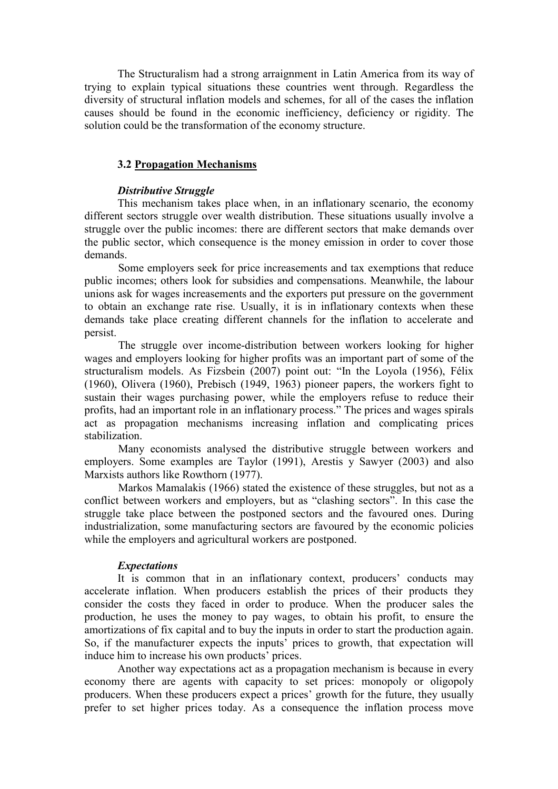The Structuralism had a strong arraignment in Latin America from its way of trying to explain typical situations these countries went through. Regardless the diversity of structural inflation models and schemes, for all of the cases the inflation causes should be found in the economic inefficiency, deficiency or rigidity. The solution could be the transformation of the economy structure.

# 3.2 Propagation Mechanisms

# Distributive Struggle

This mechanism takes place when, in an inflationary scenario, the economy different sectors struggle over wealth distribution. These situations usually involve a struggle over the public incomes: there are different sectors that make demands over the public sector, which consequence is the money emission in order to cover those demands.

Some employers seek for price increasements and tax exemptions that reduce public incomes; others look for subsidies and compensations. Meanwhile, the labour unions ask for wages increasements and the exporters put pressure on the government to obtain an exchange rate rise. Usually, it is in inflationary contexts when these demands take place creating different channels for the inflation to accelerate and persist.

 The struggle over income-distribution between workers looking for higher wages and employers looking for higher profits was an important part of some of the structuralism models. As Fizsbein (2007) point out: "In the Loyola (1956), Félix (1960), Olivera (1960), Prebisch (1949, 1963) pioneer papers, the workers fight to sustain their wages purchasing power, while the employers refuse to reduce their profits, had an important role in an inflationary process." The prices and wages spirals act as propagation mechanisms increasing inflation and complicating prices stabilization.

Many economists analysed the distributive struggle between workers and employers. Some examples are Taylor (1991), Arestis y Sawyer (2003) and also Marxists authors like Rowthorn (1977).

 Markos Mamalakis (1966) stated the existence of these struggles, but not as a conflict between workers and employers, but as "clashing sectors". In this case the struggle take place between the postponed sectors and the favoured ones. During industrialization, some manufacturing sectors are favoured by the economic policies while the employers and agricultural workers are postponed.

# **Expectations**

It is common that in an inflationary context, producers' conducts may accelerate inflation. When producers establish the prices of their products they consider the costs they faced in order to produce. When the producer sales the production, he uses the money to pay wages, to obtain his profit, to ensure the amortizations of fix capital and to buy the inputs in order to start the production again. So, if the manufacturer expects the inputs' prices to growth, that expectation will induce him to increase his own products' prices.

Another way expectations act as a propagation mechanism is because in every economy there are agents with capacity to set prices: monopoly or oligopoly producers. When these producers expect a prices' growth for the future, they usually prefer to set higher prices today. As a consequence the inflation process move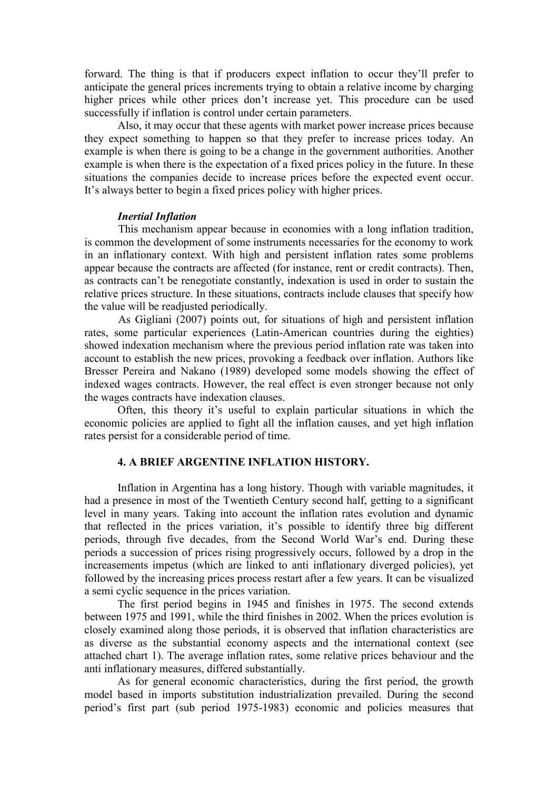forward. The thing is that if producers expect inflation to occur they'll prefer to anticipate the general prices increments trying to obtain a relative income by charging higher prices while other prices don't increase yet. This procedure can be used successfully if inflation is control under certain parameters.

Also, it may occur that these agents with market power increase prices because they expect something to happen so that they prefer to increase prices today. An example is when there is going to be a change in the government authorities. Another example is when there is the expectation of a fixed prices policy in the future. In these situations the companies decide to increase prices before the expected event occur. It's always better to begin a fixed prices policy with higher prices.

#### Inertial Inflation

This mechanism appear because in economies with a long inflation tradition, is common the development of some instruments necessaries for the economy to work in an inflationary context. With high and persistent inflation rates some problems appear because the contracts are affected (for instance, rent or credit contracts). Then, as contracts can't be renegotiate constantly, indexation is used in order to sustain the relative prices structure. In these situations, contracts include clauses that specify how the value will be readjusted periodically.

As Gigliani (2007) points out, for situations of high and persistent inflation rates, some particular experiences (Latin-American countries during the eighties) showed indexation mechanism where the previous period inflation rate was taken into account to establish the new prices, provoking a feedback over inflation. Authors like Bresser Pereira and Nakano (1989) developed some models showing the effect of indexed wages contracts. However, the real effect is even stronger because not only the wages contracts have indexation clauses.

Often, this theory it's useful to explain particular situations in which the economic policies are applied to fight all the inflation causes, and yet high inflation rates persist for a considerable period of time.

### 4. A BRIEF ARGENTINE INFLATION HISTORY.

Inflation in Argentina has a long history. Though with variable magnitudes, it had a presence in most of the Twentieth Century second half, getting to a significant level in many years. Taking into account the inflation rates evolution and dynamic that reflected in the prices variation, it's possible to identify three big different periods, through five decades, from the Second World War's end. During these periods a succession of prices rising progressively occurs, followed by a drop in the increasements impetus (which are linked to anti inflationary diverged policies), yet followed by the increasing prices process restart after a few years. It can be visualized a semi cyclic sequence in the prices variation.

The first period begins in 1945 and finishes in 1975. The second extends between 1975 and 1991, while the third finishes in 2002. When the prices evolution is closely examined along those periods, it is observed that inflation characteristics are as diverse as the substantial economy aspects and the international context (see attached chart 1). The average inflation rates, some relative prices behaviour and the anti inflationary measures, differed substantially.

As for general economic characteristics, during the first period, the growth model based in imports substitution industrialization prevailed. During the second period's first part (sub period 1975-1983) economic and policies measures that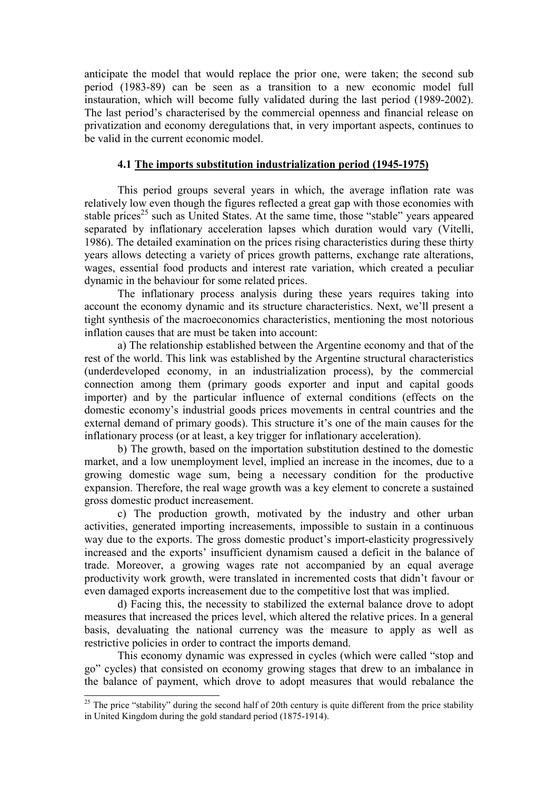anticipate the model that would replace the prior one, were taken; the second sub period (1983-89) can be seen as a transition to a new economic model full instauration, which will become fully validated during the last period (1989-2002). The last period's characterised by the commercial openness and financial release on privatization and economy deregulations that, in very important aspects, continues to be valid in the current economic model.

# 4.1 The imports substitution industrialization period (1945-1975)

This period groups several years in which, the average inflation rate was relatively low even though the figures reflected a great gap with those economies with stable prices<sup>25</sup> such as United States. At the same time, those "stable" years appeared separated by inflationary acceleration lapses which duration would vary (Vitelli, 1986). The detailed examination on the prices rising characteristics during these thirty years allows detecting a variety of prices growth patterns, exchange rate alterations, wages, essential food products and interest rate variation, which created a peculiar dynamic in the behaviour for some related prices.

The inflationary process analysis during these years requires taking into account the economy dynamic and its structure characteristics. Next, we'll present a tight synthesis of the macroeconomics characteristics, mentioning the most notorious inflation causes that are must be taken into account:

a) The relationship established between the Argentine economy and that of the rest of the world. This link was established by the Argentine structural characteristics (underdeveloped economy, in an industrialization process), by the commercial connection among them (primary goods exporter and input and capital goods importer) and by the particular influence of external conditions (effects on the domestic economy's industrial goods prices movements in central countries and the external demand of primary goods). This structure it's one of the main causes for the inflationary process (or at least, a key trigger for inflationary acceleration).

b) The growth, based on the importation substitution destined to the domestic market, and a low unemployment level, implied an increase in the incomes, due to a growing domestic wage sum, being a necessary condition for the productive expansion. Therefore, the real wage growth was a key element to concrete a sustained gross domestic product increasement.

c) The production growth, motivated by the industry and other urban activities, generated importing increasements, impossible to sustain in a continuous way due to the exports. The gross domestic product's import-elasticity progressively increased and the exports' insufficient dynamism caused a deficit in the balance of trade. Moreover, a growing wages rate not accompanied by an equal average productivity work growth, were translated in incremented costs that didn't favour or even damaged exports increasement due to the competitive lost that was implied.

d) Facing this, the necessity to stabilized the external balance drove to adopt measures that increased the prices level, which altered the relative prices. In a general basis, devaluating the national currency was the measure to apply as well as restrictive policies in order to contract the imports demand.

This economy dynamic was expressed in cycles (which were called "stop and go" cycles) that consisted on economy growing stages that drew to an imbalance in the balance of payment, which drove to adopt measures that would rebalance the

 $\overline{a}$ <sup>25</sup> The price "stability" during the second half of 20th century is quite different from the price stability in United Kingdom during the gold standard period (1875-1914).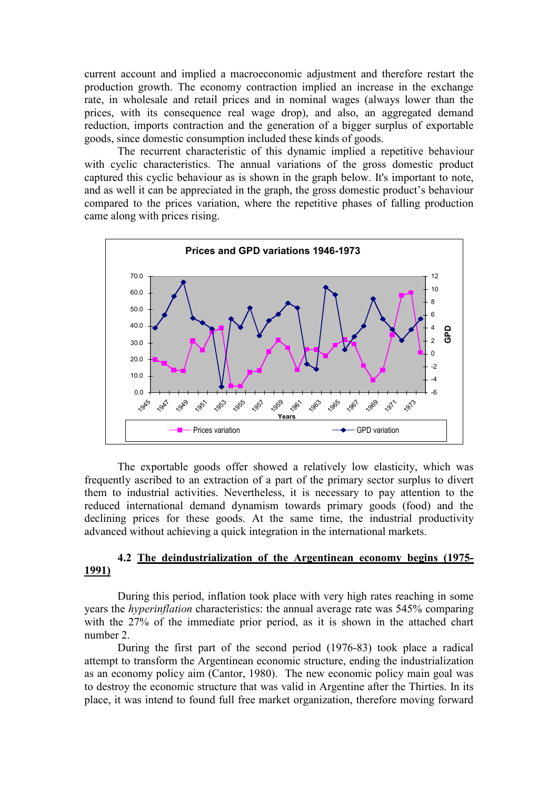current account and implied a macroeconomic adjustment and therefore restart the production growth. The economy contraction implied an increase in the exchange rate, in wholesale and retail prices and in nominal wages (always lower than the prices, with its consequence real wage drop), and also, an aggregated demand reduction, imports contraction and the generation of a bigger surplus of exportable goods, since domestic consumption included these kinds of goods.

The recurrent characteristic of this dynamic implied a repetitive behaviour with cyclic characteristics. The annual variations of the gross domestic product captured this cyclic behaviour as is shown in the graph below. It's important to note, and as well it can be appreciated in the graph, the gross domestic product's behaviour compared to the prices variation, where the repetitive phases of falling production came along with prices rising.



The exportable goods offer showed a relatively low elasticity, which was frequently ascribed to an extraction of a part of the primary sector surplus to divert them to industrial activities. Nevertheless, it is necessary to pay attention to the reduced international demand dynamism towards primary goods (food) and the declining prices for these goods. At the same time, the industrial productivity advanced without achieving a quick integration in the international markets.

# 4.2 The deindustrialization of the Argentinean economy begins (1975- 1991)

During this period, inflation took place with very high rates reaching in some years the hyperinflation characteristics: the annual average rate was 545% comparing with the 27% of the immediate prior period, as it is shown in the attached chart number 2.

During the first part of the second period (1976-83) took place a radical attempt to transform the Argentinean economic structure, ending the industrialization as an economy policy aim (Cantor, 1980). The new economic policy main goal was to destroy the economic structure that was valid in Argentine after the Thirties. In its place, it was intend to found full free market organization, therefore moving forward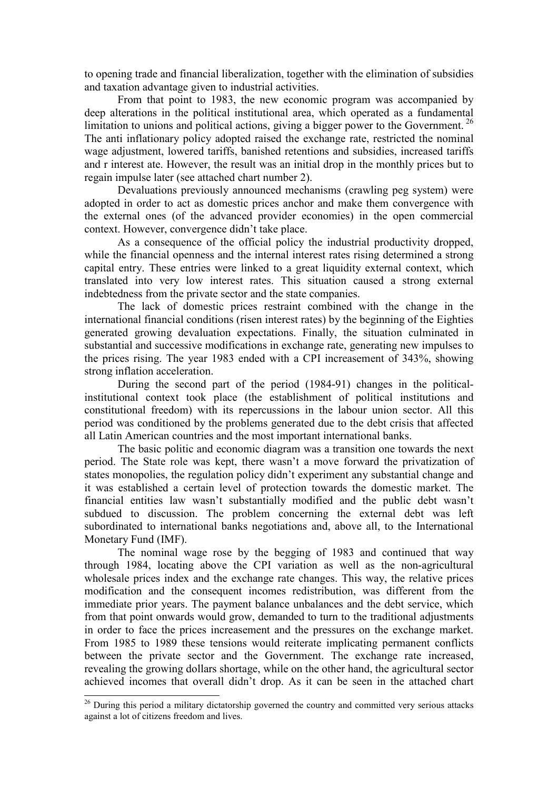to opening trade and financial liberalization, together with the elimination of subsidies and taxation advantage given to industrial activities.

From that point to 1983, the new economic program was accompanied by deep alterations in the political institutional area, which operated as a fundamental limitation to unions and political actions, giving a bigger power to the Government.<sup>26</sup> The anti inflationary policy adopted raised the exchange rate, restricted the nominal wage adjustment, lowered tariffs, banished retentions and subsidies, increased tariffs and r interest ate. However, the result was an initial drop in the monthly prices but to regain impulse later (see attached chart number 2).

Devaluations previously announced mechanisms (crawling peg system) were adopted in order to act as domestic prices anchor and make them convergence with the external ones (of the advanced provider economies) in the open commercial context. However, convergence didn't take place.

As a consequence of the official policy the industrial productivity dropped, while the financial openness and the internal interest rates rising determined a strong capital entry. These entries were linked to a great liquidity external context, which translated into very low interest rates. This situation caused a strong external indebtedness from the private sector and the state companies.

The lack of domestic prices restraint combined with the change in the international financial conditions (risen interest rates) by the beginning of the Eighties generated growing devaluation expectations. Finally, the situation culminated in substantial and successive modifications in exchange rate, generating new impulses to the prices rising. The year 1983 ended with a CPI increasement of 343%, showing strong inflation acceleration.

During the second part of the period (1984-91) changes in the politicalinstitutional context took place (the establishment of political institutions and constitutional freedom) with its repercussions in the labour union sector. All this period was conditioned by the problems generated due to the debt crisis that affected all Latin American countries and the most important international banks.

The basic politic and economic diagram was a transition one towards the next period. The State role was kept, there wasn't a move forward the privatization of states monopolies, the regulation policy didn't experiment any substantial change and it was established a certain level of protection towards the domestic market. The financial entities law wasn't substantially modified and the public debt wasn't subdued to discussion. The problem concerning the external debt was left subordinated to international banks negotiations and, above all, to the International Monetary Fund (IMF).

The nominal wage rose by the begging of 1983 and continued that way through 1984, locating above the CPI variation as well as the non-agricultural wholesale prices index and the exchange rate changes. This way, the relative prices modification and the consequent incomes redistribution, was different from the immediate prior years. The payment balance unbalances and the debt service, which from that point onwards would grow, demanded to turn to the traditional adjustments in order to face the prices increasement and the pressures on the exchange market. From 1985 to 1989 these tensions would reiterate implicating permanent conflicts between the private sector and the Government. The exchange rate increased, revealing the growing dollars shortage, while on the other hand, the agricultural sector achieved incomes that overall didn't drop. As it can be seen in the attached chart

 $\overline{a}$ 

<sup>&</sup>lt;sup>26</sup> During this period a military dictatorship governed the country and committed very serious attacks against a lot of citizens freedom and lives.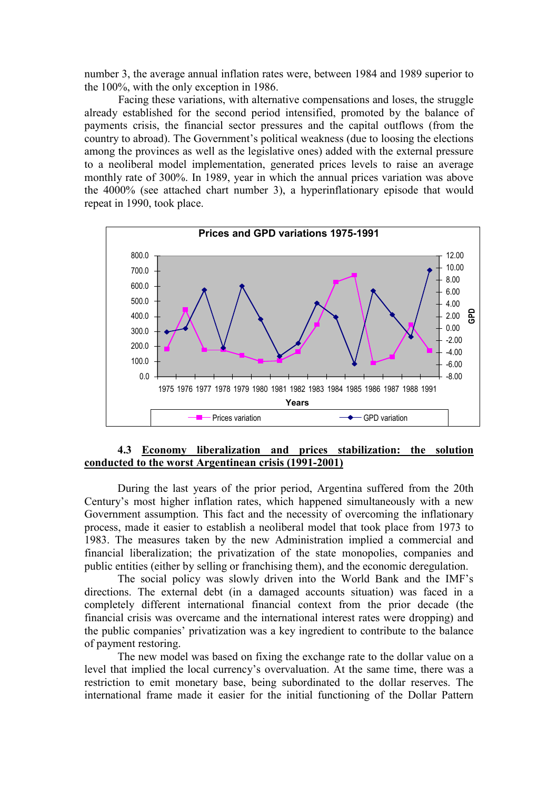number 3, the average annual inflation rates were, between 1984 and 1989 superior to the 100%, with the only exception in 1986.

 Facing these variations, with alternative compensations and loses, the struggle already established for the second period intensified, promoted by the balance of payments crisis, the financial sector pressures and the capital outflows (from the country to abroad). The Government's political weakness (due to loosing the elections among the provinces as well as the legislative ones) added with the external pressure to a neoliberal model implementation, generated prices levels to raise an average monthly rate of 300%. In 1989, year in which the annual prices variation was above the 4000% (see attached chart number 3), a hyperinflationary episode that would repeat in 1990, took place.



# 4.3 Economy liberalization and prices stabilization: the solution conducted to the worst Argentinean crisis (1991-2001)

During the last years of the prior period, Argentina suffered from the 20th Century's most higher inflation rates, which happened simultaneously with a new Government assumption. This fact and the necessity of overcoming the inflationary process, made it easier to establish a neoliberal model that took place from 1973 to 1983. The measures taken by the new Administration implied a commercial and financial liberalization; the privatization of the state monopolies, companies and public entities (either by selling or franchising them), and the economic deregulation.

The social policy was slowly driven into the World Bank and the IMF's directions. The external debt (in a damaged accounts situation) was faced in a completely different international financial context from the prior decade (the financial crisis was overcame and the international interest rates were dropping) and the public companies' privatization was a key ingredient to contribute to the balance of payment restoring.

The new model was based on fixing the exchange rate to the dollar value on a level that implied the local currency's overvaluation. At the same time, there was a restriction to emit monetary base, being subordinated to the dollar reserves. The international frame made it easier for the initial functioning of the Dollar Pattern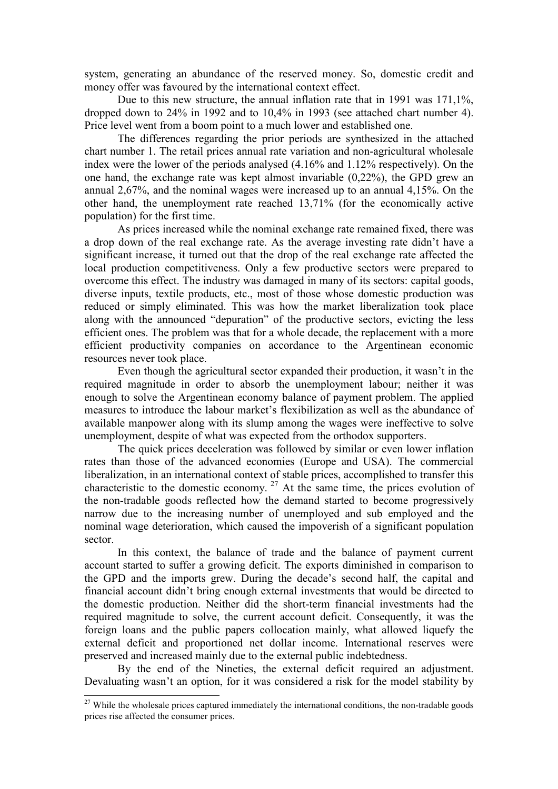system, generating an abundance of the reserved money. So, domestic credit and money offer was favoured by the international context effect.

Due to this new structure, the annual inflation rate that in 1991 was 171,1%, dropped down to 24% in 1992 and to 10,4% in 1993 (see attached chart number 4). Price level went from a boom point to a much lower and established one.

The differences regarding the prior periods are synthesized in the attached chart number 1. The retail prices annual rate variation and non-agricultural wholesale index were the lower of the periods analysed (4.16% and 1.12% respectively). On the one hand, the exchange rate was kept almost invariable (0,22%), the GPD grew an annual 2,67%, and the nominal wages were increased up to an annual 4,15%. On the other hand, the unemployment rate reached 13,71% (for the economically active population) for the first time.

As prices increased while the nominal exchange rate remained fixed, there was a drop down of the real exchange rate. As the average investing rate didn't have a significant increase, it turned out that the drop of the real exchange rate affected the local production competitiveness. Only a few productive sectors were prepared to overcome this effect. The industry was damaged in many of its sectors: capital goods, diverse inputs, textile products, etc., most of those whose domestic production was reduced or simply eliminated. This was how the market liberalization took place along with the announced "depuration" of the productive sectors, evicting the less efficient ones. The problem was that for a whole decade, the replacement with a more efficient productivity companies on accordance to the Argentinean economic resources never took place.

Even though the agricultural sector expanded their production, it wasn't in the required magnitude in order to absorb the unemployment labour; neither it was enough to solve the Argentinean economy balance of payment problem. The applied measures to introduce the labour market's flexibilization as well as the abundance of available manpower along with its slump among the wages were ineffective to solve unemployment, despite of what was expected from the orthodox supporters.

The quick prices deceleration was followed by similar or even lower inflation rates than those of the advanced economies (Europe and USA). The commercial liberalization, in an international context of stable prices, accomplished to transfer this characteristic to the domestic economy.<sup>27</sup> At the same time, the prices evolution of the non-tradable goods reflected how the demand started to become progressively narrow due to the increasing number of unemployed and sub employed and the nominal wage deterioration, which caused the impoverish of a significant population sector.

In this context, the balance of trade and the balance of payment current account started to suffer a growing deficit. The exports diminished in comparison to the GPD and the imports grew. During the decade's second half, the capital and financial account didn't bring enough external investments that would be directed to the domestic production. Neither did the short-term financial investments had the required magnitude to solve, the current account deficit. Consequently, it was the foreign loans and the public papers collocation mainly, what allowed liquefy the external deficit and proportioned net dollar income. International reserves were preserved and increased mainly due to the external public indebtedness.

By the end of the Nineties, the external deficit required an adjustment. Devaluating wasn't an option, for it was considered a risk for the model stability by

 $\overline{a}$ 

<sup>&</sup>lt;sup>27</sup> While the wholesale prices captured immediately the international conditions, the non-tradable goods prices rise affected the consumer prices.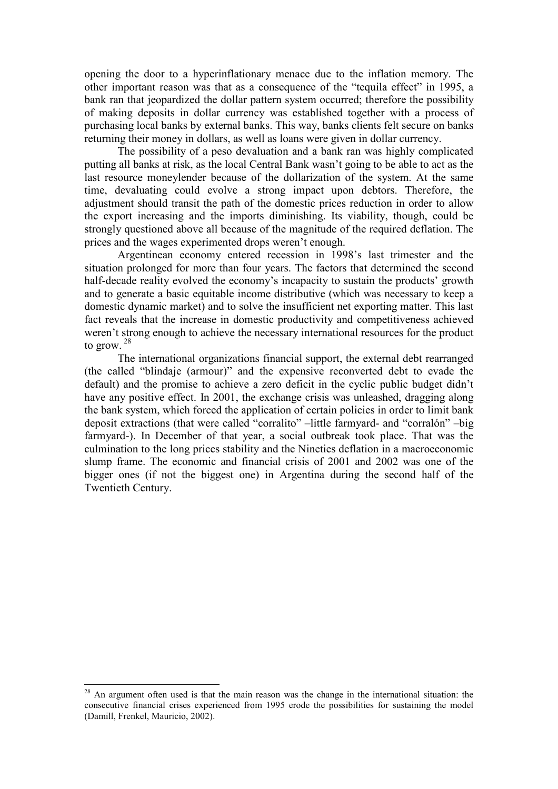opening the door to a hyperinflationary menace due to the inflation memory. The other important reason was that as a consequence of the "tequila effect" in 1995, a bank ran that jeopardized the dollar pattern system occurred; therefore the possibility of making deposits in dollar currency was established together with a process of purchasing local banks by external banks. This way, banks clients felt secure on banks returning their money in dollars, as well as loans were given in dollar currency.

The possibility of a peso devaluation and a bank ran was highly complicated putting all banks at risk, as the local Central Bank wasn't going to be able to act as the last resource moneylender because of the dollarization of the system. At the same time, devaluating could evolve a strong impact upon debtors. Therefore, the adjustment should transit the path of the domestic prices reduction in order to allow the export increasing and the imports diminishing. Its viability, though, could be strongly questioned above all because of the magnitude of the required deflation. The prices and the wages experimented drops weren't enough.

Argentinean economy entered recession in 1998's last trimester and the situation prolonged for more than four years. The factors that determined the second half-decade reality evolved the economy's incapacity to sustain the products' growth and to generate a basic equitable income distributive (which was necessary to keep a domestic dynamic market) and to solve the insufficient net exporting matter. This last fact reveals that the increase in domestic productivity and competitiveness achieved weren't strong enough to achieve the necessary international resources for the product to grow.  $28$ 

The international organizations financial support, the external debt rearranged (the called "blindaje (armour)" and the expensive reconverted debt to evade the default) and the promise to achieve a zero deficit in the cyclic public budget didn't have any positive effect. In 2001, the exchange crisis was unleashed, dragging along the bank system, which forced the application of certain policies in order to limit bank deposit extractions (that were called "corralito" –little farmyard- and "corralón" –big farmyard-). In December of that year, a social outbreak took place. That was the culmination to the long prices stability and the Nineties deflation in a macroeconomic slump frame. The economic and financial crisis of 2001 and 2002 was one of the bigger ones (if not the biggest one) in Argentina during the second half of the Twentieth Century.

 $\overline{a}$ 

 $2<sup>28</sup>$  An argument often used is that the main reason was the change in the international situation: the consecutive financial crises experienced from 1995 erode the possibilities for sustaining the model (Damill, Frenkel, Mauricio, 2002).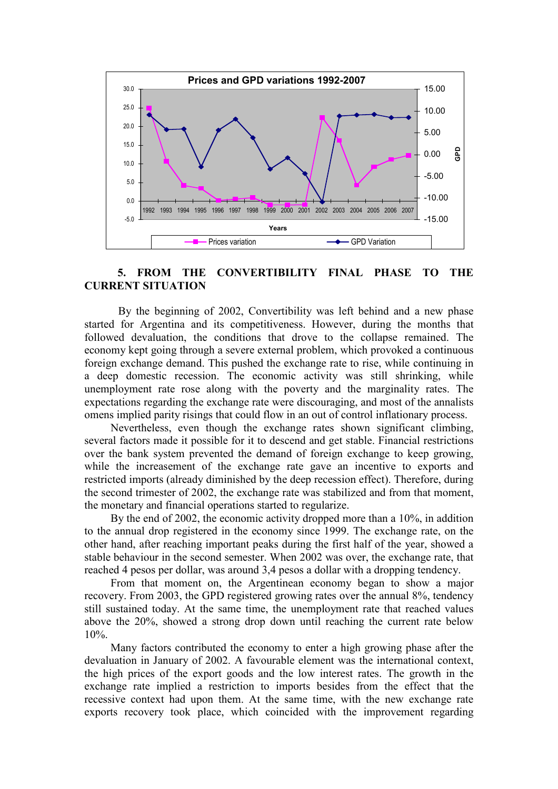

# 5. FROM THE CONVERTIBILITY FINAL PHASE TO THE CURRENT SITUATION

 By the beginning of 2002, Convertibility was left behind and a new phase started for Argentina and its competitiveness. However, during the months that followed devaluation, the conditions that drove to the collapse remained. The economy kept going through a severe external problem, which provoked a continuous foreign exchange demand. This pushed the exchange rate to rise, while continuing in a deep domestic recession. The economic activity was still shrinking, while unemployment rate rose along with the poverty and the marginality rates. The expectations regarding the exchange rate were discouraging, and most of the annalists omens implied parity risings that could flow in an out of control inflationary process.

 Nevertheless, even though the exchange rates shown significant climbing, several factors made it possible for it to descend and get stable. Financial restrictions over the bank system prevented the demand of foreign exchange to keep growing, while the increasement of the exchange rate gave an incentive to exports and restricted imports (already diminished by the deep recession effect). Therefore, during the second trimester of 2002, the exchange rate was stabilized and from that moment, the monetary and financial operations started to regularize.

 By the end of 2002, the economic activity dropped more than a 10%, in addition to the annual drop registered in the economy since 1999. The exchange rate, on the other hand, after reaching important peaks during the first half of the year, showed a stable behaviour in the second semester. When 2002 was over, the exchange rate, that reached 4 pesos per dollar, was around 3,4 pesos a dollar with a dropping tendency.

 From that moment on, the Argentinean economy began to show a major recovery. From 2003, the GPD registered growing rates over the annual 8%, tendency still sustained today. At the same time, the unemployment rate that reached values above the 20%, showed a strong drop down until reaching the current rate below 10%.

 Many factors contributed the economy to enter a high growing phase after the devaluation in January of 2002. A favourable element was the international context, the high prices of the export goods and the low interest rates. The growth in the exchange rate implied a restriction to imports besides from the effect that the recessive context had upon them. At the same time, with the new exchange rate exports recovery took place, which coincided with the improvement regarding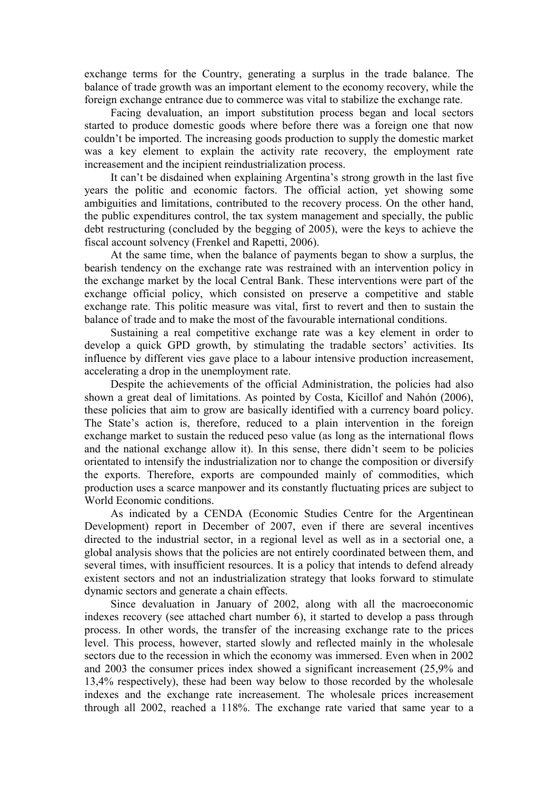exchange terms for the Country, generating a surplus in the trade balance. The balance of trade growth was an important element to the economy recovery, while the foreign exchange entrance due to commerce was vital to stabilize the exchange rate.

 Facing devaluation, an import substitution process began and local sectors started to produce domestic goods where before there was a foreign one that now couldn't be imported. The increasing goods production to supply the domestic market was a key element to explain the activity rate recovery, the employment rate increasement and the incipient reindustrialization process.

 It can't be disdained when explaining Argentina's strong growth in the last five years the politic and economic factors. The official action, yet showing some ambiguities and limitations, contributed to the recovery process. On the other hand, the public expenditures control, the tax system management and specially, the public debt restructuring (concluded by the begging of 2005), were the keys to achieve the fiscal account solvency (Frenkel and Rapetti, 2006).

 At the same time, when the balance of payments began to show a surplus, the bearish tendency on the exchange rate was restrained with an intervention policy in the exchange market by the local Central Bank. These interventions were part of the exchange official policy, which consisted on preserve a competitive and stable exchange rate. This politic measure was vital, first to revert and then to sustain the balance of trade and to make the most of the favourable international conditions.

 Sustaining a real competitive exchange rate was a key element in order to develop a quick GPD growth, by stimulating the tradable sectors' activities. Its influence by different vies gave place to a labour intensive production increasement, accelerating a drop in the unemployment rate.

 Despite the achievements of the official Administration, the policies had also shown a great deal of limitations. As pointed by Costa, Kicillof and Nahón (2006), these policies that aim to grow are basically identified with a currency board policy. The State's action is, therefore, reduced to a plain intervention in the foreign exchange market to sustain the reduced peso value (as long as the international flows and the national exchange allow it). In this sense, there didn't seem to be policies orientated to intensify the industrialization nor to change the composition or diversify the exports. Therefore, exports are compounded mainly of commodities, which production uses a scarce manpower and its constantly fluctuating prices are subject to World Economic conditions.

 As indicated by a CENDA (Economic Studies Centre for the Argentinean Development) report in December of 2007, even if there are several incentives directed to the industrial sector, in a regional level as well as in a sectorial one, a global analysis shows that the policies are not entirely coordinated between them, and several times, with insufficient resources. It is a policy that intends to defend already existent sectors and not an industrialization strategy that looks forward to stimulate dynamic sectors and generate a chain effects.

 Since devaluation in January of 2002, along with all the macroeconomic indexes recovery (see attached chart number 6), it started to develop a pass through process. In other words, the transfer of the increasing exchange rate to the prices level. This process, however, started slowly and reflected mainly in the wholesale sectors due to the recession in which the economy was immersed. Even when in 2002 and 2003 the consumer prices index showed a significant increasement (25,9% and 13,4% respectively), these had been way below to those recorded by the wholesale indexes and the exchange rate increasement. The wholesale prices increasement through all 2002, reached a 118%. The exchange rate varied that same year to a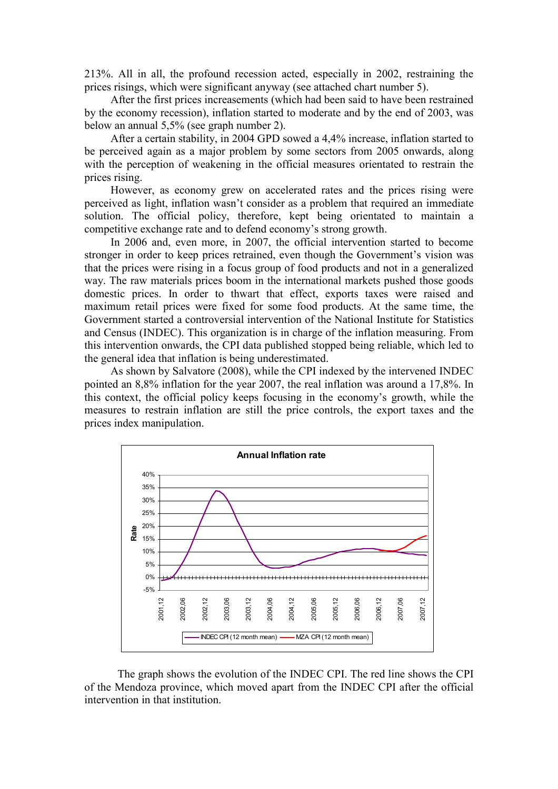213%. All in all, the profound recession acted, especially in 2002, restraining the prices risings, which were significant anyway (see attached chart number 5).

 After the first prices increasements (which had been said to have been restrained by the economy recession), inflation started to moderate and by the end of 2003, was below an annual 5,5% (see graph number 2).

 After a certain stability, in 2004 GPD sowed a 4,4% increase, inflation started to be perceived again as a major problem by some sectors from 2005 onwards, along with the perception of weakening in the official measures orientated to restrain the prices rising.

 However, as economy grew on accelerated rates and the prices rising were perceived as light, inflation wasn't consider as a problem that required an immediate solution. The official policy, therefore, kept being orientated to maintain a competitive exchange rate and to defend economy's strong growth.

 In 2006 and, even more, in 2007, the official intervention started to become stronger in order to keep prices retrained, even though the Government's vision was that the prices were rising in a focus group of food products and not in a generalized way. The raw materials prices boom in the international markets pushed those goods domestic prices. In order to thwart that effect, exports taxes were raised and maximum retail prices were fixed for some food products. At the same time, the Government started a controversial intervention of the National Institute for Statistics and Census (INDEC). This organization is in charge of the inflation measuring. From this intervention onwards, the CPI data published stopped being reliable, which led to the general idea that inflation is being underestimated.

 As shown by Salvatore (2008), while the CPI indexed by the intervened INDEC pointed an 8,8% inflation for the year 2007, the real inflation was around a 17,8%. In this context, the official policy keeps focusing in the economy's growth, while the measures to restrain inflation are still the price controls, the export taxes and the prices index manipulation.



The graph shows the evolution of the INDEC CPI. The red line shows the CPI of the Mendoza province, which moved apart from the INDEC CPI after the official intervention in that institution.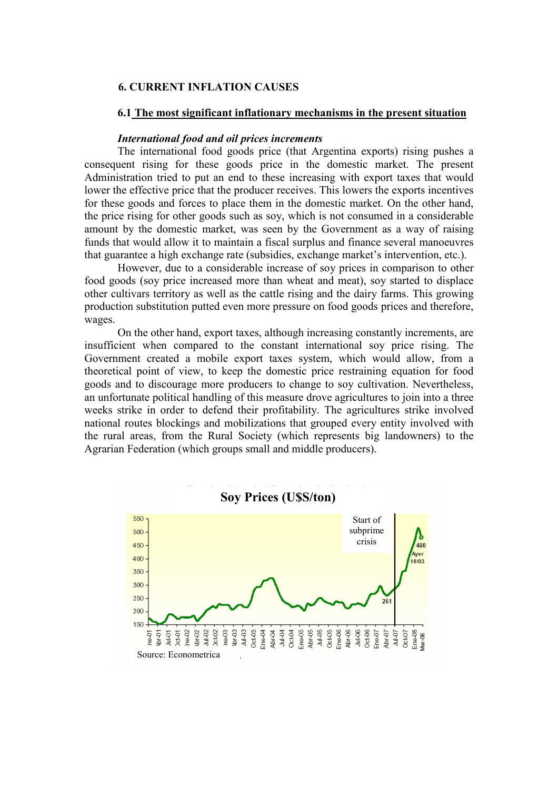# 6. CURRENT INFLATION CAUSES

#### 6.1 The most significant inflationary mechanisms in the present situation

#### International food and oil prices increments

The international food goods price (that Argentina exports) rising pushes a consequent rising for these goods price in the domestic market. The present Administration tried to put an end to these increasing with export taxes that would lower the effective price that the producer receives. This lowers the exports incentives for these goods and forces to place them in the domestic market. On the other hand, the price rising for other goods such as soy, which is not consumed in a considerable amount by the domestic market, was seen by the Government as a way of raising funds that would allow it to maintain a fiscal surplus and finance several manoeuvres that guarantee a high exchange rate (subsidies, exchange market's intervention, etc.).

However, due to a considerable increase of soy prices in comparison to other food goods (soy price increased more than wheat and meat), soy started to displace other cultivars territory as well as the cattle rising and the dairy farms. This growing production substitution putted even more pressure on food goods prices and therefore, wages.

On the other hand, export taxes, although increasing constantly increments, are insufficient when compared to the constant international soy price rising. The Government created a mobile export taxes system, which would allow, from a theoretical point of view, to keep the domestic price restraining equation for food goods and to discourage more producers to change to soy cultivation. Nevertheless, an unfortunate political handling of this measure drove agricultures to join into a three weeks strike in order to defend their profitability. The agricultures strike involved national routes blockings and mobilizations that grouped every entity involved with the rural areas, from the Rural Society (which represents big landowners) to the Agrarian Federation (which groups small and middle producers).

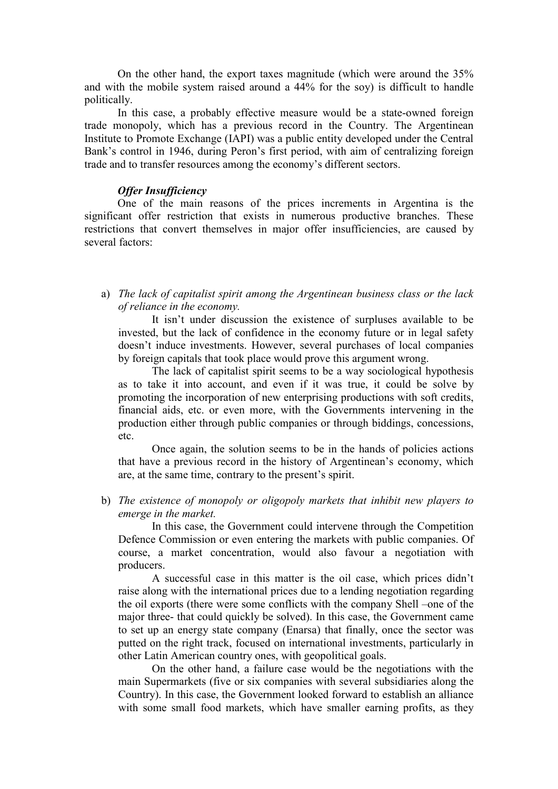On the other hand, the export taxes magnitude (which were around the 35% and with the mobile system raised around a 44% for the soy) is difficult to handle politically.

In this case, a probably effective measure would be a state-owned foreign trade monopoly, which has a previous record in the Country. The Argentinean Institute to Promote Exchange (IAPI) was a public entity developed under the Central Bank's control in 1946, during Peron's first period, with aim of centralizing foreign trade and to transfer resources among the economy's different sectors.

# Offer Insufficiency

One of the main reasons of the prices increments in Argentina is the significant offer restriction that exists in numerous productive branches. These restrictions that convert themselves in major offer insufficiencies, are caused by several factors:

a) The lack of capitalist spirit among the Argentinean business class or the lack of reliance in the economy.

It isn't under discussion the existence of surpluses available to be invested, but the lack of confidence in the economy future or in legal safety doesn't induce investments. However, several purchases of local companies by foreign capitals that took place would prove this argument wrong.

The lack of capitalist spirit seems to be a way sociological hypothesis as to take it into account, and even if it was true, it could be solve by promoting the incorporation of new enterprising productions with soft credits, financial aids, etc. or even more, with the Governments intervening in the production either through public companies or through biddings, concessions, etc.

Once again, the solution seems to be in the hands of policies actions that have a previous record in the history of Argentinean's economy, which are, at the same time, contrary to the present's spirit.

b) The existence of monopoly or oligopoly markets that inhibit new players to emerge in the market.

In this case, the Government could intervene through the Competition Defence Commission or even entering the markets with public companies. Of course, a market concentration, would also favour a negotiation with producers.

A successful case in this matter is the oil case, which prices didn't raise along with the international prices due to a lending negotiation regarding the oil exports (there were some conflicts with the company Shell –one of the major three- that could quickly be solved). In this case, the Government came to set up an energy state company (Enarsa) that finally, once the sector was putted on the right track, focused on international investments, particularly in other Latin American country ones, with geopolitical goals.

On the other hand, a failure case would be the negotiations with the main Supermarkets (five or six companies with several subsidiaries along the Country). In this case, the Government looked forward to establish an alliance with some small food markets, which have smaller earning profits, as they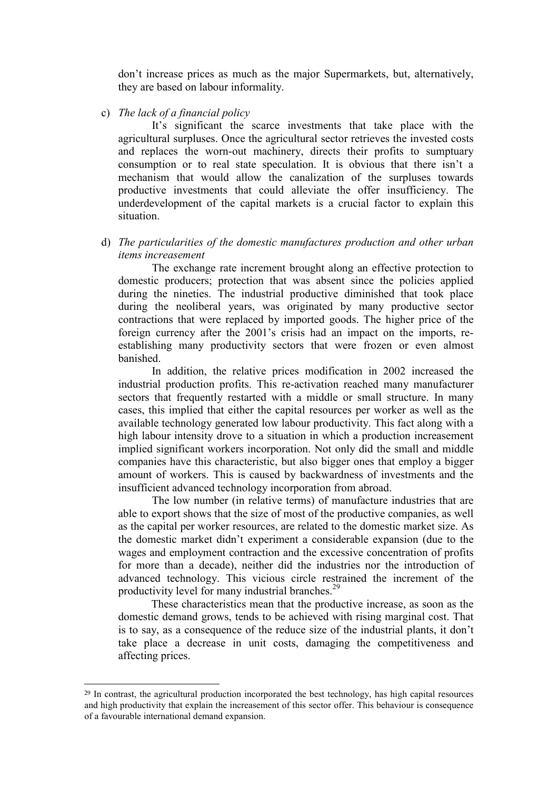don't increase prices as much as the major Supermarkets, but, alternatively, they are based on labour informality.

c) The lack of a financial policy

 It's significant the scarce investments that take place with the agricultural surpluses. Once the agricultural sector retrieves the invested costs and replaces the worn-out machinery, directs their profits to sumptuary consumption or to real state speculation. It is obvious that there isn't a mechanism that would allow the canalization of the surpluses towards productive investments that could alleviate the offer insufficiency. The underdevelopment of the capital markets is a crucial factor to explain this situation.

d) The particularities of the domestic manufactures production and other urban items increasement

 The exchange rate increment brought along an effective protection to domestic producers; protection that was absent since the policies applied during the nineties. The industrial productive diminished that took place during the neoliberal years, was originated by many productive sector contractions that were replaced by imported goods. The higher price of the foreign currency after the 2001's crisis had an impact on the imports, reestablishing many productivity sectors that were frozen or even almost banished.

 In addition, the relative prices modification in 2002 increased the industrial production profits. This re-activation reached many manufacturer sectors that frequently restarted with a middle or small structure. In many cases, this implied that either the capital resources per worker as well as the available technology generated low labour productivity. This fact along with a high labour intensity drove to a situation in which a production increasement implied significant workers incorporation. Not only did the small and middle companies have this characteristic, but also bigger ones that employ a bigger amount of workers. This is caused by backwardness of investments and the insufficient advanced technology incorporation from abroad.

 The low number (in relative terms) of manufacture industries that are able to export shows that the size of most of the productive companies, as well as the capital per worker resources, are related to the domestic market size. As the domestic market didn't experiment a considerable expansion (due to the wages and employment contraction and the excessive concentration of profits for more than a decade), neither did the industries nor the introduction of advanced technology. This vicious circle restrained the increment of the productivity level for many industrial branches.<sup>29</sup>

These characteristics mean that the productive increase, as soon as the domestic demand grows, tends to be achieved with rising marginal cost. That is to say, as a consequence of the reduce size of the industrial plants, it don't take place a decrease in unit costs, damaging the competitiveness and affecting prices.

 $\overline{a}$ 

<sup>&</sup>lt;sup>29</sup> In contrast, the agricultural production incorporated the best technology, has high capital resources and high productivity that explain the increasement of this sector offer. This behaviour is consequence of a favourable international demand expansion.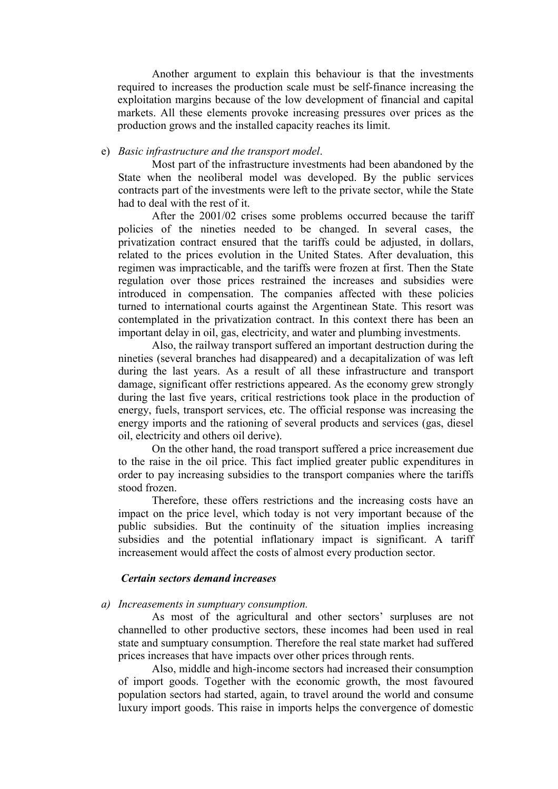Another argument to explain this behaviour is that the investments required to increases the production scale must be self-finance increasing the exploitation margins because of the low development of financial and capital markets. All these elements provoke increasing pressures over prices as the production grows and the installed capacity reaches its limit.

### e) Basic infrastructure and the transport model.

 Most part of the infrastructure investments had been abandoned by the State when the neoliberal model was developed. By the public services contracts part of the investments were left to the private sector, while the State had to deal with the rest of it.

 After the 2001/02 crises some problems occurred because the tariff policies of the nineties needed to be changed. In several cases, the privatization contract ensured that the tariffs could be adjusted, in dollars, related to the prices evolution in the United States. After devaluation, this regimen was impracticable, and the tariffs were frozen at first. Then the State regulation over those prices restrained the increases and subsidies were introduced in compensation. The companies affected with these policies turned to international courts against the Argentinean State. This resort was contemplated in the privatization contract. In this context there has been an important delay in oil, gas, electricity, and water and plumbing investments.

Also, the railway transport suffered an important destruction during the nineties (several branches had disappeared) and a decapitalization of was left during the last years. As a result of all these infrastructure and transport damage, significant offer restrictions appeared. As the economy grew strongly during the last five years, critical restrictions took place in the production of energy, fuels, transport services, etc. The official response was increasing the energy imports and the rationing of several products and services (gas, diesel oil, electricity and others oil derive).

On the other hand, the road transport suffered a price increasement due to the raise in the oil price. This fact implied greater public expenditures in order to pay increasing subsidies to the transport companies where the tariffs stood frozen.

Therefore, these offers restrictions and the increasing costs have an impact on the price level, which today is not very important because of the public subsidies. But the continuity of the situation implies increasing subsidies and the potential inflationary impact is significant. A tariff increasement would affect the costs of almost every production sector.

#### Certain sectors demand increases

#### a) Increasements in sumptuary consumption.

 As most of the agricultural and other sectors' surpluses are not channelled to other productive sectors, these incomes had been used in real state and sumptuary consumption. Therefore the real state market had suffered prices increases that have impacts over other prices through rents.

 Also, middle and high-income sectors had increased their consumption of import goods. Together with the economic growth, the most favoured population sectors had started, again, to travel around the world and consume luxury import goods. This raise in imports helps the convergence of domestic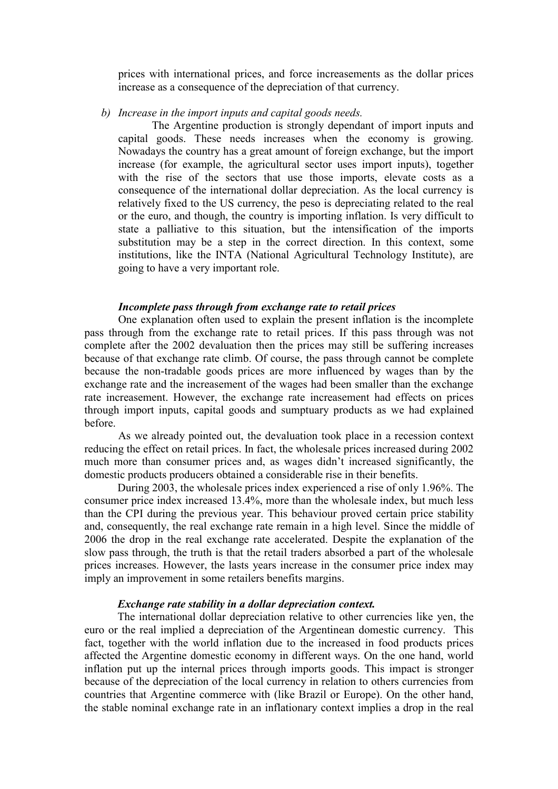prices with international prices, and force increasements as the dollar prices increase as a consequence of the depreciation of that currency.

#### b) Increase in the import inputs and capital goods needs.

 The Argentine production is strongly dependant of import inputs and capital goods. These needs increases when the economy is growing. Nowadays the country has a great amount of foreign exchange, but the import increase (for example, the agricultural sector uses import inputs), together with the rise of the sectors that use those imports, elevate costs as a consequence of the international dollar depreciation. As the local currency is relatively fixed to the US currency, the peso is depreciating related to the real or the euro, and though, the country is importing inflation. Is very difficult to state a palliative to this situation, but the intensification of the imports substitution may be a step in the correct direction. In this context, some institutions, like the INTA (National Agricultural Technology Institute), are going to have a very important role.

### Incomplete pass through from exchange rate to retail prices

One explanation often used to explain the present inflation is the incomplete pass through from the exchange rate to retail prices. If this pass through was not complete after the 2002 devaluation then the prices may still be suffering increases because of that exchange rate climb. Of course, the pass through cannot be complete because the non-tradable goods prices are more influenced by wages than by the exchange rate and the increasement of the wages had been smaller than the exchange rate increasement. However, the exchange rate increasement had effects on prices through import inputs, capital goods and sumptuary products as we had explained before.

As we already pointed out, the devaluation took place in a recession context reducing the effect on retail prices. In fact, the wholesale prices increased during 2002 much more than consumer prices and, as wages didn't increased significantly, the domestic products producers obtained a considerable rise in their benefits.

During 2003, the wholesale prices index experienced a rise of only 1.96%. The consumer price index increased 13.4%, more than the wholesale index, but much less than the CPI during the previous year. This behaviour proved certain price stability and, consequently, the real exchange rate remain in a high level. Since the middle of 2006 the drop in the real exchange rate accelerated. Despite the explanation of the slow pass through, the truth is that the retail traders absorbed a part of the wholesale prices increases. However, the lasts years increase in the consumer price index may imply an improvement in some retailers benefits margins.

### Exchange rate stability in a dollar depreciation context.

The international dollar depreciation relative to other currencies like yen, the euro or the real implied a depreciation of the Argentinean domestic currency. This fact, together with the world inflation due to the increased in food products prices affected the Argentine domestic economy in different ways. On the one hand, world inflation put up the internal prices through imports goods. This impact is stronger because of the depreciation of the local currency in relation to others currencies from countries that Argentine commerce with (like Brazil or Europe). On the other hand, the stable nominal exchange rate in an inflationary context implies a drop in the real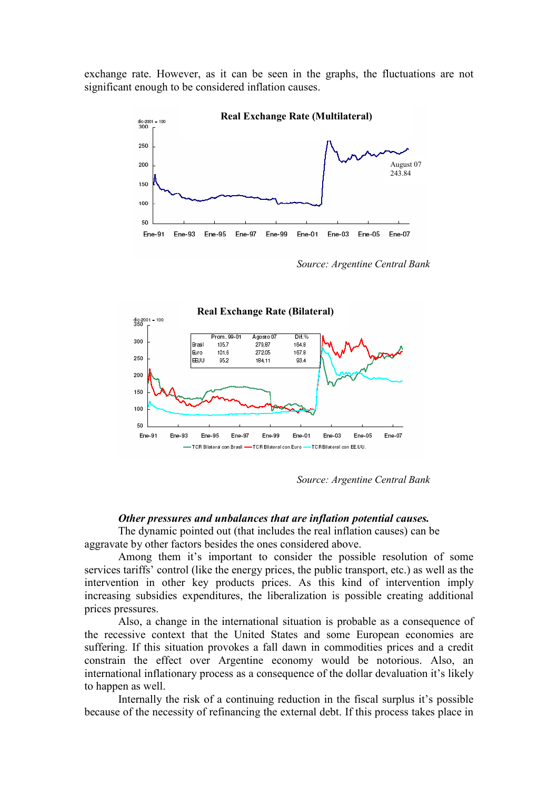exchange rate. However, as it can be seen in the graphs, the fluctuations are not significant enough to be considered inflation causes.



Source: Argentine Central Bank



Source: Argentine Central Bank

#### Other pressures and unbalances that are inflation potential causes.

 The dynamic pointed out (that includes the real inflation causes) can be aggravate by other factors besides the ones considered above.

Among them it's important to consider the possible resolution of some services tariffs' control (like the energy prices, the public transport, etc.) as well as the intervention in other key products prices. As this kind of intervention imply increasing subsidies expenditures, the liberalization is possible creating additional prices pressures.

Also, a change in the international situation is probable as a consequence of the recessive context that the United States and some European economies are suffering. If this situation provokes a fall dawn in commodities prices and a credit constrain the effect over Argentine economy would be notorious. Also, an international inflationary process as a consequence of the dollar devaluation it's likely to happen as well.

Internally the risk of a continuing reduction in the fiscal surplus it's possible because of the necessity of refinancing the external debt. If this process takes place in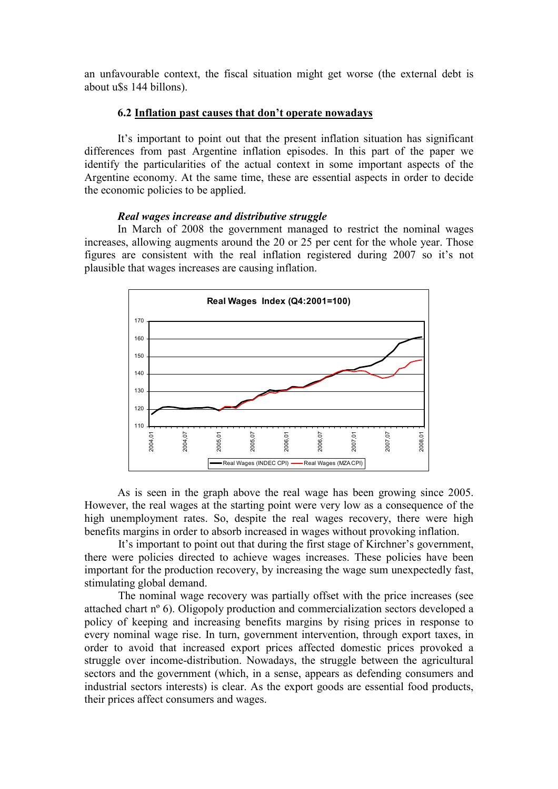an unfavourable context, the fiscal situation might get worse (the external debt is about u\$s 144 billons).

### 6.2 Inflation past causes that don't operate nowadays

It's important to point out that the present inflation situation has significant differences from past Argentine inflation episodes. In this part of the paper we identify the particularities of the actual context in some important aspects of the Argentine economy. At the same time, these are essential aspects in order to decide the economic policies to be applied.

### Real wages increase and distributive struggle

In March of 2008 the government managed to restrict the nominal wages increases, allowing augments around the 20 or 25 per cent for the whole year. Those figures are consistent with the real inflation registered during 2007 so it's not plausible that wages increases are causing inflation.



As is seen in the graph above the real wage has been growing since 2005. However, the real wages at the starting point were very low as a consequence of the high unemployment rates. So, despite the real wages recovery, there were high benefits margins in order to absorb increased in wages without provoking inflation.

It's important to point out that during the first stage of Kirchner's government, there were policies directed to achieve wages increases. These policies have been important for the production recovery, by increasing the wage sum unexpectedly fast, stimulating global demand.

The nominal wage recovery was partially offset with the price increases (see attached chart nº 6). Oligopoly production and commercialization sectors developed a policy of keeping and increasing benefits margins by rising prices in response to every nominal wage rise. In turn, government intervention, through export taxes, in order to avoid that increased export prices affected domestic prices provoked a struggle over income-distribution. Nowadays, the struggle between the agricultural sectors and the government (which, in a sense, appears as defending consumers and industrial sectors interests) is clear. As the export goods are essential food products, their prices affect consumers and wages.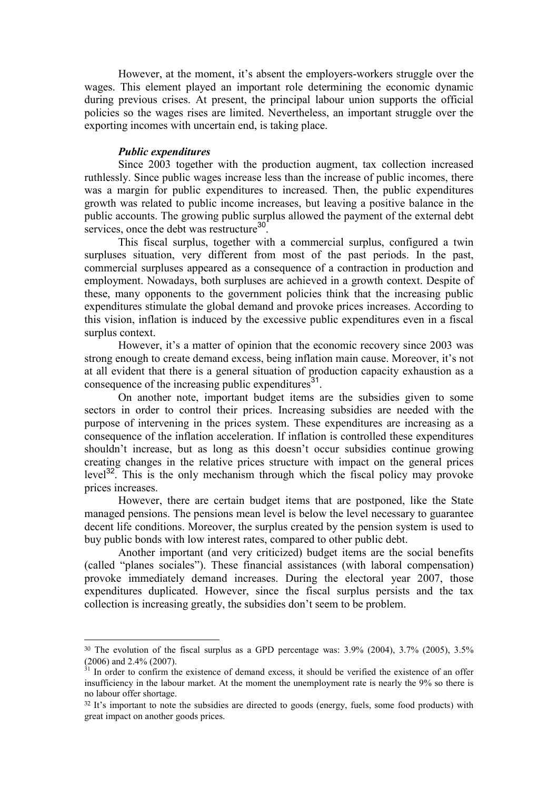However, at the moment, it's absent the employers-workers struggle over the wages. This element played an important role determining the economic dynamic during previous crises. At present, the principal labour union supports the official policies so the wages rises are limited. Nevertheless, an important struggle over the exporting incomes with uncertain end, is taking place.

#### Public expenditures

 $\overline{a}$ 

Since 2003 together with the production augment, tax collection increased ruthlessly. Since public wages increase less than the increase of public incomes, there was a margin for public expenditures to increased. Then, the public expenditures growth was related to public income increases, but leaving a positive balance in the public accounts. The growing public surplus allowed the payment of the external debt services, once the debt was restructure<sup>30</sup>.

This fiscal surplus, together with a commercial surplus, configured a twin surpluses situation, very different from most of the past periods. In the past, commercial surpluses appeared as a consequence of a contraction in production and employment. Nowadays, both surpluses are achieved in a growth context. Despite of these, many opponents to the government policies think that the increasing public expenditures stimulate the global demand and provoke prices increases. According to this vision, inflation is induced by the excessive public expenditures even in a fiscal surplus context.

However, it's a matter of opinion that the economic recovery since 2003 was strong enough to create demand excess, being inflation main cause. Moreover, it's not at all evident that there is a general situation of production capacity exhaustion as a consequence of the increasing public expenditures $3<sup>1</sup>$ .

On another note, important budget items are the subsidies given to some sectors in order to control their prices. Increasing subsidies are needed with the purpose of intervening in the prices system. These expenditures are increasing as a consequence of the inflation acceleration. If inflation is controlled these expenditures shouldn't increase, but as long as this doesn't occur subsidies continue growing creating changes in the relative prices structure with impact on the general prices level<sup>32</sup>. This is the only mechanism through which the fiscal policy may provoke prices increases.

However, there are certain budget items that are postponed, like the State managed pensions. The pensions mean level is below the level necessary to guarantee decent life conditions. Moreover, the surplus created by the pension system is used to buy public bonds with low interest rates, compared to other public debt.

 Another important (and very criticized) budget items are the social benefits (called "planes sociales"). These financial assistances (with laboral compensation) provoke immediately demand increases. During the electoral year 2007, those expenditures duplicated. However, since the fiscal surplus persists and the tax collection is increasing greatly, the subsidies don't seem to be problem.

<sup>30</sup> The evolution of the fiscal surplus as a GPD percentage was: 3.9% (2004), 3.7% (2005), 3.5%  $(2006)$  and 2.4%  $(2007)$ .

In order to confirm the existence of demand excess, it should be verified the existence of an offer insufficiency in the labour market. At the moment the unemployment rate is nearly the 9% so there is no labour offer shortage.

<sup>&</sup>lt;sup>32</sup> It's important to note the subsidies are directed to goods (energy, fuels, some food products) with great impact on another goods prices.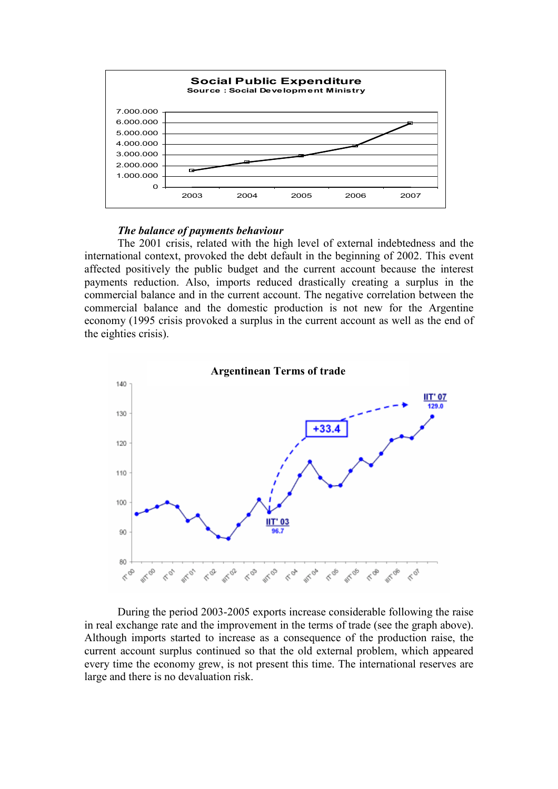

#### The balance of payments behaviour

The 2001 crisis, related with the high level of external indebtedness and the international context, provoked the debt default in the beginning of 2002. This event affected positively the public budget and the current account because the interest payments reduction. Also, imports reduced drastically creating a surplus in the commercial balance and in the current account. The negative correlation between the commercial balance and the domestic production is not new for the Argentine economy (1995 crisis provoked a surplus in the current account as well as the end of the eighties crisis).



During the period 2003-2005 exports increase considerable following the raise in real exchange rate and the improvement in the terms of trade (see the graph above). Although imports started to increase as a consequence of the production raise, the current account surplus continued so that the old external problem, which appeared every time the economy grew, is not present this time. The international reserves are large and there is no devaluation risk.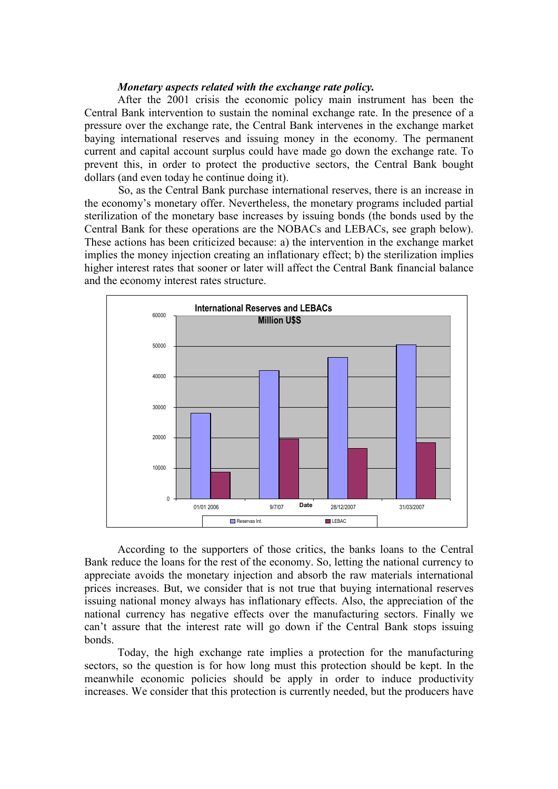### Monetary aspects related with the exchange rate policy.

After the 2001 crisis the economic policy main instrument has been the Central Bank intervention to sustain the nominal exchange rate. In the presence of a pressure over the exchange rate, the Central Bank intervenes in the exchange market baying international reserves and issuing money in the economy. The permanent current and capital account surplus could have made go down the exchange rate. To prevent this, in order to protect the productive sectors, the Central Bank bought dollars (and even today he continue doing it).

So, as the Central Bank purchase international reserves, there is an increase in the economy's monetary offer. Nevertheless, the monetary programs included partial sterilization of the monetary base increases by issuing bonds (the bonds used by the Central Bank for these operations are the NOBACs and LEBACs, see graph below). These actions has been criticized because: a) the intervention in the exchange market implies the money injection creating an inflationary effect; b) the sterilization implies higher interest rates that sooner or later will affect the Central Bank financial balance and the economy interest rates structure.



According to the supporters of those critics, the banks loans to the Central Bank reduce the loans for the rest of the economy. So, letting the national currency to appreciate avoids the monetary injection and absorb the raw materials international prices increases. But, we consider that is not true that buying international reserves issuing national money always has inflationary effects. Also, the appreciation of the national currency has negative effects over the manufacturing sectors. Finally we can't assure that the interest rate will go down if the Central Bank stops issuing bonds.

Today, the high exchange rate implies a protection for the manufacturing sectors, so the question is for how long must this protection should be kept. In the meanwhile economic policies should be apply in order to induce productivity increases. We consider that this protection is currently needed, but the producers have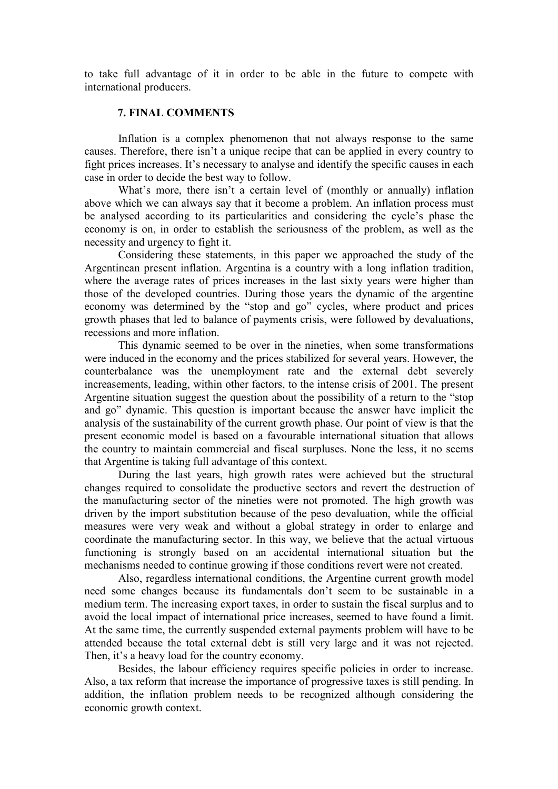to take full advantage of it in order to be able in the future to compete with international producers.

### 7. FINAL COMMENTS

Inflation is a complex phenomenon that not always response to the same causes. Therefore, there isn't a unique recipe that can be applied in every country to fight prices increases. It's necessary to analyse and identify the specific causes in each case in order to decide the best way to follow.

What's more, there isn't a certain level of (monthly or annually) inflation above which we can always say that it become a problem. An inflation process must be analysed according to its particularities and considering the cycle's phase the economy is on, in order to establish the seriousness of the problem, as well as the necessity and urgency to fight it.

Considering these statements, in this paper we approached the study of the Argentinean present inflation. Argentina is a country with a long inflation tradition, where the average rates of prices increases in the last sixty years were higher than those of the developed countries. During those years the dynamic of the argentine economy was determined by the "stop and go" cycles, where product and prices growth phases that led to balance of payments crisis, were followed by devaluations, recessions and more inflation.

This dynamic seemed to be over in the nineties, when some transformations were induced in the economy and the prices stabilized for several years. However, the counterbalance was the unemployment rate and the external debt severely increasements, leading, within other factors, to the intense crisis of 2001. The present Argentine situation suggest the question about the possibility of a return to the "stop and go" dynamic. This question is important because the answer have implicit the analysis of the sustainability of the current growth phase. Our point of view is that the present economic model is based on a favourable international situation that allows the country to maintain commercial and fiscal surpluses. None the less, it no seems that Argentine is taking full advantage of this context.

During the last years, high growth rates were achieved but the structural changes required to consolidate the productive sectors and revert the destruction of the manufacturing sector of the nineties were not promoted. The high growth was driven by the import substitution because of the peso devaluation, while the official measures were very weak and without a global strategy in order to enlarge and coordinate the manufacturing sector. In this way, we believe that the actual virtuous functioning is strongly based on an accidental international situation but the mechanisms needed to continue growing if those conditions revert were not created.

Also, regardless international conditions, the Argentine current growth model need some changes because its fundamentals don't seem to be sustainable in a medium term. The increasing export taxes, in order to sustain the fiscal surplus and to avoid the local impact of international price increases, seemed to have found a limit. At the same time, the currently suspended external payments problem will have to be attended because the total external debt is still very large and it was not rejected. Then, it's a heavy load for the country economy.

Besides, the labour efficiency requires specific policies in order to increase. Also, a tax reform that increase the importance of progressive taxes is still pending. In addition, the inflation problem needs to be recognized although considering the economic growth context.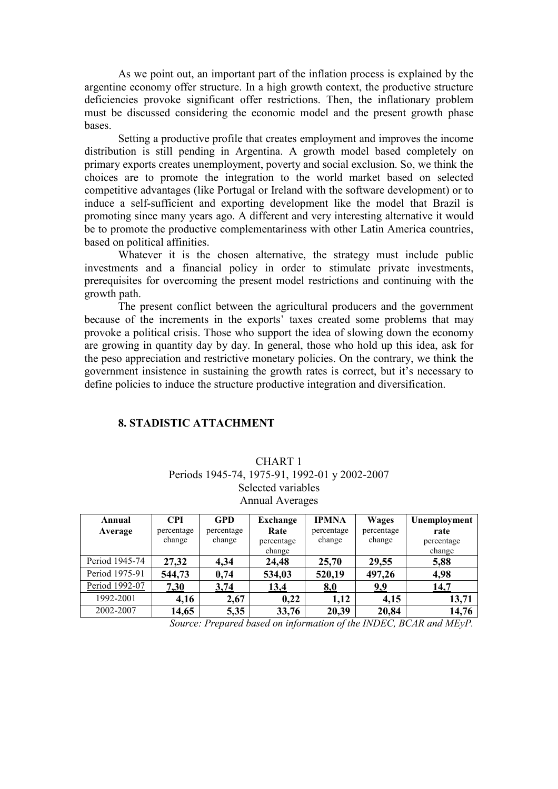As we point out, an important part of the inflation process is explained by the argentine economy offer structure. In a high growth context, the productive structure deficiencies provoke significant offer restrictions. Then, the inflationary problem must be discussed considering the economic model and the present growth phase bases.

Setting a productive profile that creates employment and improves the income distribution is still pending in Argentina. A growth model based completely on primary exports creates unemployment, poverty and social exclusion. So, we think the choices are to promote the integration to the world market based on selected competitive advantages (like Portugal or Ireland with the software development) or to induce a self-sufficient and exporting development like the model that Brazil is promoting since many years ago. A different and very interesting alternative it would be to promote the productive complementariness with other Latin America countries, based on political affinities.

Whatever it is the chosen alternative, the strategy must include public investments and a financial policy in order to stimulate private investments, prerequisites for overcoming the present model restrictions and continuing with the growth path.

The present conflict between the agricultural producers and the government because of the increments in the exports' taxes created some problems that may provoke a political crisis. Those who support the idea of slowing down the economy are growing in quantity day by day. In general, those who hold up this idea, ask for the peso appreciation and restrictive monetary policies. On the contrary, we think the government insistence in sustaining the growth rates is correct, but it's necessary to define policies to induce the structure productive integration and diversification.

#### 8. STADISTIC ATTACHMENT

# CHART 1 Periods 1945-74, 1975-91, 1992-01 y 2002-2007 Selected variables Annual Averages

| Annual         | <b>CPI</b> | <b>GPD</b> | Exchange   | <b>IPMNA</b> | <b>Wages</b> | Unemployment |
|----------------|------------|------------|------------|--------------|--------------|--------------|
| Average        | percentage | percentage | Rate       | percentage   | percentage   | rate         |
|                | change     | change     | percentage | change       | change       | percentage   |
|                |            |            | change     |              |              | change       |
| Period 1945-74 | 27,32      | 4,34       | 24,48      | 25,70        | 29,55        | 5,88         |
| Period 1975-91 | 544,73     | 0,74       | 534,03     | 520,19       | 497,26       | 4,98         |
| Period 1992-07 | 7,30       | 3,74       | 13,4       | 8,0          | 9,9          | 14,7         |
| 1992-2001      | 4,16       | 2,67       | 0,22       | 1,12         | 4,15         | 13,71        |
| 2002-2007      | 14,65      | 5,35       | 33,76      | 20,39        | 20,84        | 14,76        |

Source: Prepared based on information of the INDEC, BCAR and MEyP.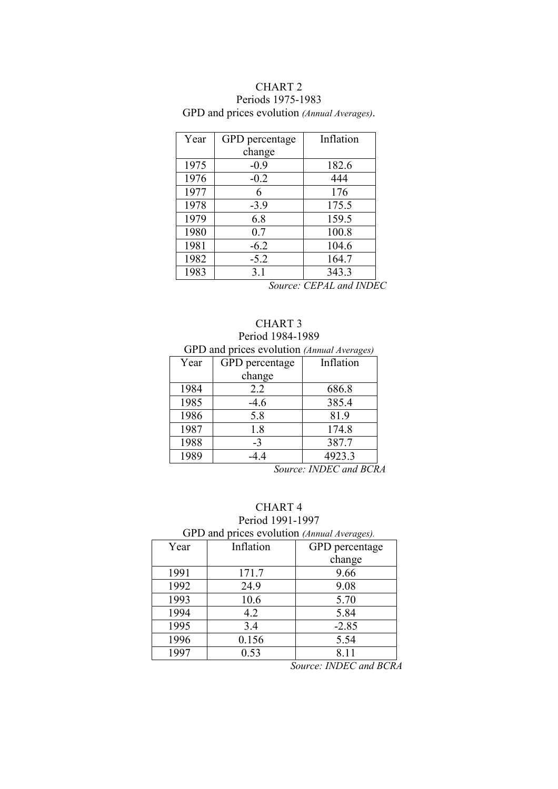# CHART 2 Periods 1975-1983

GPD and prices evolution (Annual Averages).

| Year | GPD percentage | Inflation |
|------|----------------|-----------|
|      | change         |           |
| 1975 | $-0.9$         | 182.6     |
| 1976 | $-0.2$         | 444       |
| 1977 | 6              | 176       |
| 1978 | $-3.9$         | 175.5     |
| 1979 | 6.8            | 159.5     |
| 1980 | 0.7            | 100.8     |
| 1981 | $-6.2$         | 104.6     |
| 1982 | $-5.2$         | 164.7     |
| 1983 | 3.1            | 343.3     |

Source: CEPAL and INDEC

# CHART 3 Period 1984-1989

# GPD and prices evolution (Annual Averages)

| Year | GPD percentage | Inflation |  |  |
|------|----------------|-----------|--|--|
|      | change         |           |  |  |
| 1984 | 2.2            | 686.8     |  |  |
| 1985 | $-4.6$         | 385.4     |  |  |
| 1986 | 5.8            | 81.9      |  |  |
| 1987 | 1.8            | 174.8     |  |  |
| 1988 | $-3$           | 387.7     |  |  |
| 1989 | -44            | 4923.3    |  |  |

Source: INDEC and BCRA

# CHART 4

Period 1991-1997 GPD and p

|     | GPD and prices evolution (Annual Averages). |                 |
|-----|---------------------------------------------|-----------------|
| ີ _ | Inflation                                   | $CDD$ noroontog |

| Year | Inflation | GPD percentage |  |
|------|-----------|----------------|--|
|      |           | change         |  |
| 1991 | 171.7     | 9.66           |  |
| 1992 | 24.9      | 9.08           |  |
| 1993 | 10.6      | 5.70           |  |
| 1994 | 4.2       | 5.84           |  |
| 1995 | 3.4       | $-2.85$        |  |
| 1996 | 0.156     | 5.54           |  |
| 1997 | 0.53      | 8.11           |  |

Source: INDEC and BCRA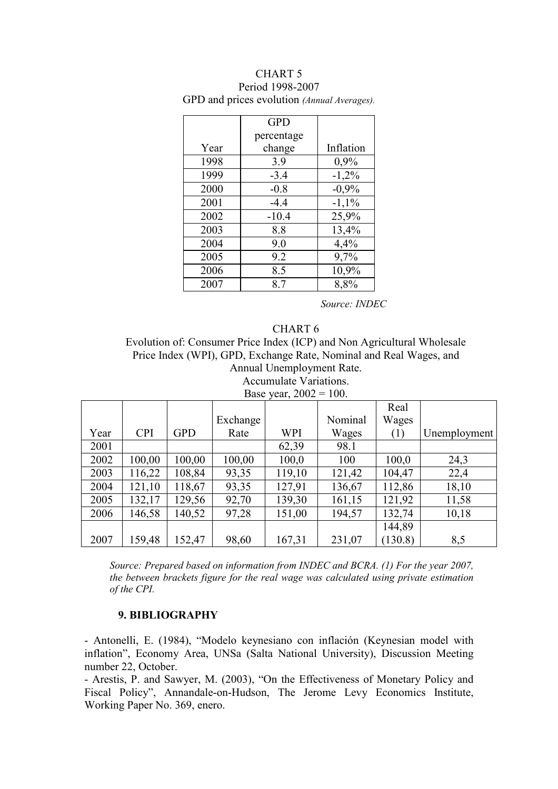|      | <b>GPD</b> |           |
|------|------------|-----------|
|      | percentage |           |
| Year | change     | Inflation |
| 1998 | 3.9        | 0,9%      |
| 1999 | $-3.4$     | $-1,2%$   |
| 2000 | $-0.8$     | $-0,9%$   |
| 2001 | $-4.4$     | $-1,1\%$  |
| 2002 | $-10.4$    | 25,9%     |
| 2003 | 8.8        | 13,4%     |
| 2004 | 9.0        | 4,4%      |
| 2005 | 9.2        | 9,7%      |
| 2006 | 8.5        | 10,9%     |
| 2007 | 8.7        | 8,8%      |

### CHART 5 Period 1998-2007 GPD and prices evolution (Annual Averages).

Source: INDEC

### CHART 6

Evolution of: Consumer Price Index (ICP) and Non Agricultural Wholesale Price Index (WPI), GPD, Exchange Rate, Nominal and Real Wages, and Annual Unemployment Rate. Accumulate Variations.

Base year,  $2002 = 100$ .

|      |            |            |          |            |         | Real    |              |
|------|------------|------------|----------|------------|---------|---------|--------------|
|      |            |            | Exchange |            | Nominal | Wages   |              |
| Year | <b>CPI</b> | <b>GPD</b> | Rate     | <b>WPI</b> | Wages   | (1)     | Unemployment |
| 2001 |            |            |          | 62,39      | 98.1    |         |              |
| 2002 | 100,00     | 100,00     | 100,00   | 100,0      | 100     | 100,0   | 24,3         |
| 2003 | 116,22     | 108,84     | 93,35    | 119,10     | 121,42  | 104,47  | 22,4         |
| 2004 | 121,10     | 118,67     | 93,35    | 127,91     | 136,67  | 112,86  | 18,10        |
| 2005 | 132,17     | 129,56     | 92,70    | 139,30     | 161,15  | 121,92  | 11,58        |
| 2006 | 146,58     | 140,52     | 97,28    | 151,00     | 194,57  | 132,74  | 10,18        |
|      |            |            |          |            |         | 144,89  |              |
| 2007 | 159,48     | 152,47     | 98,60    | 167,31     | 231,07  | (130.8) | 8,5          |

Source: Prepared based on information from INDEC and BCRA. (1) For the year 2007, the between brackets figure for the real wage was calculated using private estimation of the CPI.

# 9. BIBLIOGRAPHY

- Antonelli, E. (1984), "Modelo keynesiano con inflación (Keynesian model with inflation", Economy Area, UNSa (Salta National University), Discussion Meeting number 22, October.

- Arestis, P. and Sawyer, M. (2003), "On the Effectiveness of Monetary Policy and Fiscal Policy", Annandale-on-Hudson, The Jerome Levy Economics Institute, Working Paper No. 369, enero.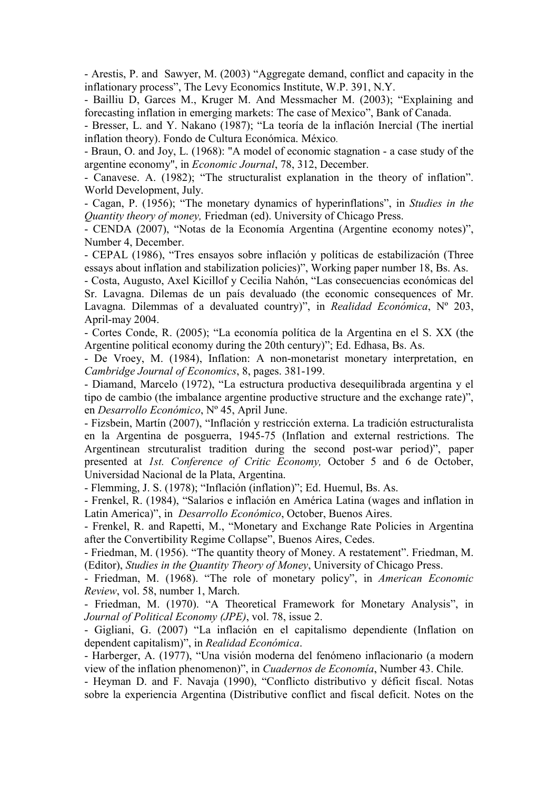- Arestis, P. and Sawyer, M. (2003) "Aggregate demand, conflict and capacity in the inflationary process", The Levy Economics Institute, W.P. 391, N.Y.

- Bailliu D, Garces M., Kruger M. And Messmacher M. (2003); "Explaining and forecasting inflation in emerging markets: The case of Mexico", Bank of Canada.

- Bresser, L. and Y. Nakano (1987); "La teoría de la inflación Inercial (The inertial inflation theory). Fondo de Cultura Económica. México.

- Braun, O. and Joy, L. (1968): "A model of economic stagnation - a case study of the argentine economy", in Economic Journal, 78, 312, December.

- Canavese. A. (1982); "The structuralist explanation in the theory of inflation". World Development, July.

- Cagan, P. (1956); "The monetary dynamics of hyperinflations", in Studies in the Quantity theory of money, Friedman (ed). University of Chicago Press.

- CENDA (2007), "Notas de la Economía Argentina (Argentine economy notes)", Number 4, December.

- CEPAL (1986), "Tres ensayos sobre inflación y políticas de estabilización (Three essays about inflation and stabilization policies)", Working paper number 18, Bs. As.

- Costa, Augusto, Axel Kicillof y Cecilia Nahón, "Las consecuencias económicas del Sr. Lavagna. Dilemas de un país devaluado (the economic consequences of Mr. Lavagna. Dilemmas of a devaluated country)", in Realidad Económica,  $N^{\circ}$  203, April-may 2004.

- Cortes Conde, R. (2005); "La economía política de la Argentina en el S. XX (the Argentine political economy during the 20th century)"; Ed. Edhasa, Bs. As.

- De Vroey, M. (1984), Inflation: A non-monetarist monetary interpretation, en Cambridge Journal of Economics, 8, pages. 381-199.

- Diamand, Marcelo (1972), "La estructura productiva desequilibrada argentina y el tipo de cambio (the imbalance argentine productive structure and the exchange rate)", en Desarrollo Económico, Nº 45, April June.

- Fizsbein, Martín (2007), "Inflación y restricción externa. La tradición estructuralista en la Argentina de posguerra, 1945-75 (Inflation and external restrictions. The Argentinean strcuturalist tradition during the second post-war period)", paper presented at 1st. Conference of Critic Economy, October 5 and 6 de October, Universidad Nacional de la Plata, Argentina.

- Flemming, J. S. (1978); "Inflación (inflation)"; Ed. Huemul, Bs. As.

- Frenkel, R. (1984), "Salarios e inflación en América Latina (wages and inflation in Latin America)", in Desarrollo Económico, October, Buenos Aires.

- Frenkel, R. and Rapetti, M., "Monetary and Exchange Rate Policies in Argentina after the Convertibility Regime Collapse", Buenos Aires, Cedes.

- Friedman, M. (1956). "The quantity theory of Money. A restatement". Friedman, M. (Editor), Studies in the Quantity Theory of Money, University of Chicago Press.

- Friedman, M. (1968). "The role of monetary policy", in American Economic Review, vol. 58, number 1, March.

- Friedman, M. (1970). "A Theoretical Framework for Monetary Analysis", in Journal of Political Economy (JPE), vol. 78, issue 2.

- Gigliani, G. (2007) "La inflación en el capitalismo dependiente (Inflation on dependent capitalism)", in Realidad Económica.

- Harberger, A. (1977), "Una visión moderna del fenómeno inflacionario (a modern view of the inflation phenomenon)", in Cuadernos de Economía, Number 43. Chile.

- Heyman D. and F. Navaja (1990), "Conflicto distributivo y déficit fiscal. Notas sobre la experiencia Argentina (Distributive conflict and fiscal deficit. Notes on the